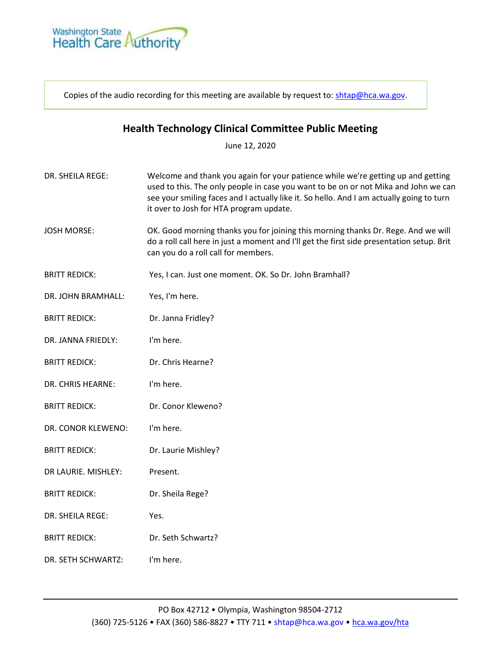

Copies of the audio recording for this meeting are available by request to: [shtap@hca.wa.gov.](mailto:shtap@hca.wa.gov)

## **Health Technology Clinical Committee Public Meeting**

June 12, 2020

- DR. SHEILA REGE: Welcome and thank you again for your patience while we're getting up and getting used to this. The only people in case you want to be on or not Mika and John we can see your smiling faces and I actually like it. So hello. And I am actually going to turn it over to Josh for HTA program update.
- JOSH MORSE: OK. Good morning thanks you for joining this morning thanks Dr. Rege. And we will do a roll call here in just a moment and I'll get the first side presentation setup. Brit can you do a roll call for members.
- BRITT REDICK: Yes, I can. Just one moment. OK. So Dr. John Bramhall?
- DR. JOHN BRAMHALL: Yes, I'm here.
- BRITT REDICK: Dr. Janna Fridley?
- DR. JANNA FRIEDLY: I'm here.
- BRITT REDICK: Dr. Chris Hearne?
- DR. CHRIS HEARNE: I'm here.
- BRITT REDICK: Dr. Conor Kleweno?
- DR. CONOR KLEWENO: I'm here.
- BRITT REDICK: Dr. Laurie Mishley?
- DR LAURIE. MISHLEY: Present.
- BRITT REDICK: Dr. Sheila Rege?
- DR. SHEILA REGE: Yes.
- BRITT REDICK: Dr. Seth Schwartz?
- DR. SETH SCHWARTZ: I'm here.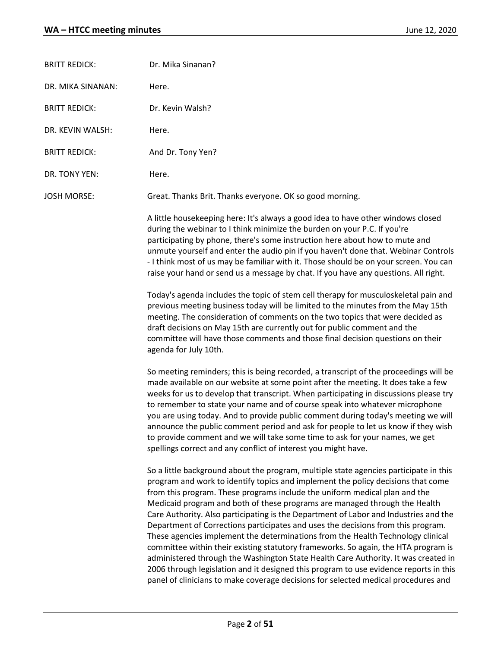| <b>BRITT REDICK:</b> | Dr. Mika Sinanan?                                                                                                                                                                                                                                                                                                                                                                                                                                                                                                                                                                                                                                                                                                                                                                                                                                                                                                                                               |
|----------------------|-----------------------------------------------------------------------------------------------------------------------------------------------------------------------------------------------------------------------------------------------------------------------------------------------------------------------------------------------------------------------------------------------------------------------------------------------------------------------------------------------------------------------------------------------------------------------------------------------------------------------------------------------------------------------------------------------------------------------------------------------------------------------------------------------------------------------------------------------------------------------------------------------------------------------------------------------------------------|
| DR. MIKA SINANAN:    | Here.                                                                                                                                                                                                                                                                                                                                                                                                                                                                                                                                                                                                                                                                                                                                                                                                                                                                                                                                                           |
| <b>BRITT REDICK:</b> | Dr. Kevin Walsh?                                                                                                                                                                                                                                                                                                                                                                                                                                                                                                                                                                                                                                                                                                                                                                                                                                                                                                                                                |
| DR. KEVIN WALSH:     | Here.                                                                                                                                                                                                                                                                                                                                                                                                                                                                                                                                                                                                                                                                                                                                                                                                                                                                                                                                                           |
| <b>BRITT REDICK:</b> | And Dr. Tony Yen?                                                                                                                                                                                                                                                                                                                                                                                                                                                                                                                                                                                                                                                                                                                                                                                                                                                                                                                                               |
| DR. TONY YEN:        | Here.                                                                                                                                                                                                                                                                                                                                                                                                                                                                                                                                                                                                                                                                                                                                                                                                                                                                                                                                                           |
| JOSH MORSE:          | Great. Thanks Brit. Thanks everyone. OK so good morning.                                                                                                                                                                                                                                                                                                                                                                                                                                                                                                                                                                                                                                                                                                                                                                                                                                                                                                        |
|                      | A little housekeeping here: It's always a good idea to have other windows closed<br>during the webinar to I think minimize the burden on your P.C. If you're<br>participating by phone, there's some instruction here about how to mute and<br>unmute yourself and enter the audio pin if you haven't done that. Webinar Controls<br>- I think most of us may be familiar with it. Those should be on your screen. You can<br>raise your hand or send us a message by chat. If you have any questions. All right.                                                                                                                                                                                                                                                                                                                                                                                                                                               |
|                      | Today's agenda includes the topic of stem cell therapy for musculoskeletal pain and<br>previous meeting business today will be limited to the minutes from the May 15th<br>meeting. The consideration of comments on the two topics that were decided as<br>draft decisions on May 15th are currently out for public comment and the<br>committee will have those comments and those final decision questions on their<br>agenda for July 10th.                                                                                                                                                                                                                                                                                                                                                                                                                                                                                                                 |
|                      | So meeting reminders; this is being recorded, a transcript of the proceedings will be<br>made available on our website at some point after the meeting. It does take a few<br>weeks for us to develop that transcript. When participating in discussions please try<br>to remember to state your name and of course speak into whatever microphone<br>you are using today. And to provide public comment during today's meeting we will<br>announce the public comment period and ask for people to let us know if they wish<br>to provide comment and we will take some time to ask for your names, we get<br>spellings correct and any conflict of interest you might have.                                                                                                                                                                                                                                                                                   |
|                      | So a little background about the program, multiple state agencies participate in this<br>program and work to identify topics and implement the policy decisions that come<br>from this program. These programs include the uniform medical plan and the<br>Medicaid program and both of these programs are managed through the Health<br>Care Authority. Also participating is the Department of Labor and Industries and the<br>Department of Corrections participates and uses the decisions from this program.<br>These agencies implement the determinations from the Health Technology clinical<br>committee within their existing statutory frameworks. So again, the HTA program is<br>administered through the Washington State Health Care Authority. It was created in<br>2006 through legislation and it designed this program to use evidence reports in this<br>panel of clinicians to make coverage decisions for selected medical procedures and |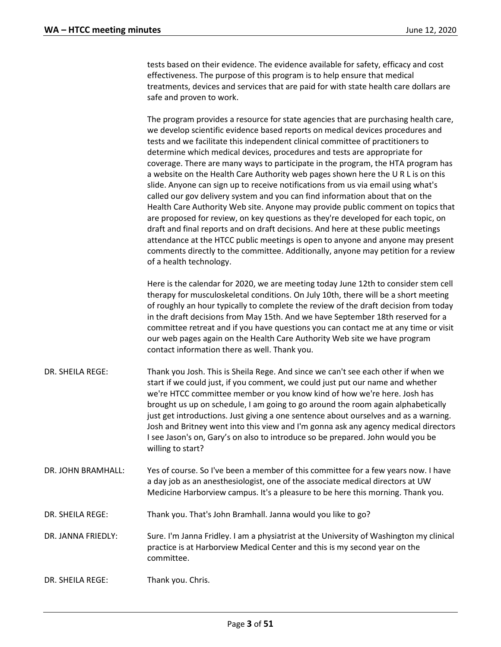tests based on their evidence. The evidence available for safety, efficacy and cost effectiveness. The purpose of this program is to help ensure that medical treatments, devices and services that are paid for with state health care dollars are safe and proven to work.

The program provides a resource for state agencies that are purchasing health care, we develop scientific evidence based reports on medical devices procedures and tests and we facilitate this independent clinical committee of practitioners to determine which medical devices, procedures and tests are appropriate for coverage. There are many ways to participate in the program, the HTA program has a website on the Health Care Authority web pages shown here the U R L is on this slide. Anyone can sign up to receive notifications from us via email using what's called our gov delivery system and you can find information about that on the Health Care Authority Web site. Anyone may provide public comment on topics that are proposed for review, on key questions as they're developed for each topic, on draft and final reports and on draft decisions. And here at these public meetings attendance at the HTCC public meetings is open to anyone and anyone may present comments directly to the committee. Additionally, anyone may petition for a review of a health technology.

Here is the calendar for 2020, we are meeting today June 12th to consider stem cell therapy for musculoskeletal conditions. On July 10th, there will be a short meeting of roughly an hour typically to complete the review of the draft decision from today in the draft decisions from May 15th. And we have September 18th reserved for a committee retreat and if you have questions you can contact me at any time or visit our web pages again on the Health Care Authority Web site we have program contact information there as well. Thank you.

- DR. SHEILA REGE: Thank you Josh. This is Sheila Rege. And since we can't see each other if when we start if we could just, if you comment, we could just put our name and whether we're HTCC committee member or you know kind of how we're here. Josh has brought us up on schedule, I am going to go around the room again alphabetically just get introductions. Just giving a one sentence about ourselves and as a warning. Josh and Britney went into this view and I'm gonna ask any agency medical directors I see Jason's on, Gary's on also to introduce so be prepared. John would you be willing to start?
- DR. JOHN BRAMHALL: Yes of course. So I've been a member of this committee for a few years now. I have a day job as an anesthesiologist, one of the associate medical directors at UW Medicine Harborview campus. It's a pleasure to be here this morning. Thank you.
- DR. SHEILA REGE: Thank you. That's John Bramhall. Janna would you like to go?
- DR. JANNA FRIEDLY: Sure. I'm Janna Fridley. I am a physiatrist at the University of Washington my clinical practice is at Harborview Medical Center and this is my second year on the committee.
- DR. SHEILA REGE: Thank you. Chris.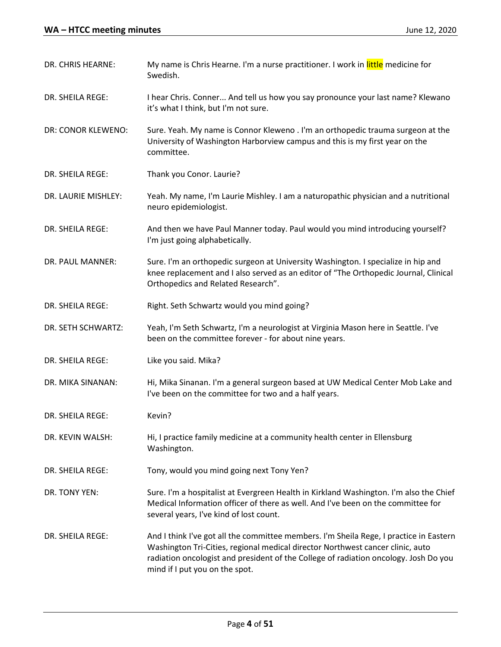| DR. CHRIS HEARNE:   | My name is Chris Hearne. I'm a nurse practitioner. I work in little medicine for<br>Swedish.                                                                                                                                                                                                       |
|---------------------|----------------------------------------------------------------------------------------------------------------------------------------------------------------------------------------------------------------------------------------------------------------------------------------------------|
| DR. SHEILA REGE:    | I hear Chris. Conner And tell us how you say pronounce your last name? Klewano<br>it's what I think, but I'm not sure.                                                                                                                                                                             |
| DR: CONOR KLEWENO:  | Sure. Yeah. My name is Connor Kleweno . I'm an orthopedic trauma surgeon at the<br>University of Washington Harborview campus and this is my first year on the<br>committee.                                                                                                                       |
| DR. SHEILA REGE:    | Thank you Conor. Laurie?                                                                                                                                                                                                                                                                           |
| DR. LAURIE MISHLEY: | Yeah. My name, I'm Laurie Mishley. I am a naturopathic physician and a nutritional<br>neuro epidemiologist.                                                                                                                                                                                        |
| DR. SHEILA REGE:    | And then we have Paul Manner today. Paul would you mind introducing yourself?<br>I'm just going alphabetically.                                                                                                                                                                                    |
| DR. PAUL MANNER:    | Sure. I'm an orthopedic surgeon at University Washington. I specialize in hip and<br>knee replacement and I also served as an editor of "The Orthopedic Journal, Clinical<br>Orthopedics and Related Research".                                                                                    |
| DR. SHEILA REGE:    | Right. Seth Schwartz would you mind going?                                                                                                                                                                                                                                                         |
| DR. SETH SCHWARTZ:  | Yeah, I'm Seth Schwartz, I'm a neurologist at Virginia Mason here in Seattle. I've<br>been on the committee forever - for about nine years.                                                                                                                                                        |
| DR. SHEILA REGE:    | Like you said. Mika?                                                                                                                                                                                                                                                                               |
| DR. MIKA SINANAN:   | Hi, Mika Sinanan. I'm a general surgeon based at UW Medical Center Mob Lake and<br>I've been on the committee for two and a half years.                                                                                                                                                            |
| DR. SHEILA REGE:    | Kevin?                                                                                                                                                                                                                                                                                             |
| DR. KEVIN WALSH:    | Hi, I practice family medicine at a community health center in Ellensburg<br>Washington.                                                                                                                                                                                                           |
| DR. SHEILA REGE:    | Tony, would you mind going next Tony Yen?                                                                                                                                                                                                                                                          |
| DR. TONY YEN:       | Sure. I'm a hospitalist at Evergreen Health in Kirkland Washington. I'm also the Chief<br>Medical Information officer of there as well. And I've been on the committee for<br>several years, I've kind of lost count.                                                                              |
| DR. SHEILA REGE:    | And I think I've got all the committee members. I'm Sheila Rege, I practice in Eastern<br>Washington Tri-Cities, regional medical director Northwest cancer clinic, auto<br>radiation oncologist and president of the College of radiation oncology. Josh Do you<br>mind if I put you on the spot. |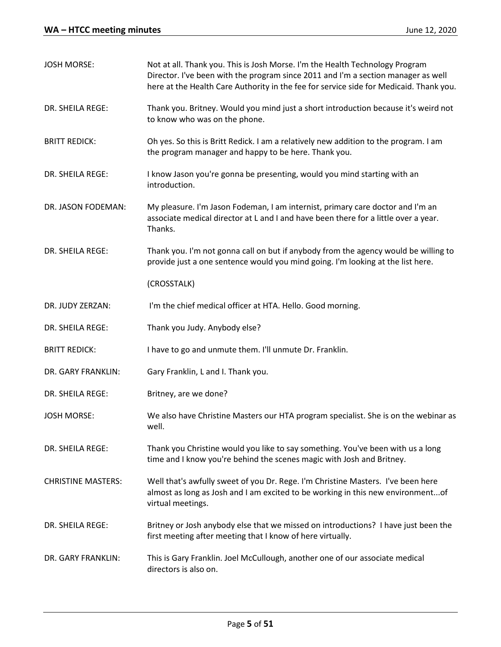| <b>JOSH MORSE:</b>        | Not at all. Thank you. This is Josh Morse. I'm the Health Technology Program<br>Director. I've been with the program since 2011 and I'm a section manager as well<br>here at the Health Care Authority in the fee for service side for Medicaid. Thank you. |
|---------------------------|-------------------------------------------------------------------------------------------------------------------------------------------------------------------------------------------------------------------------------------------------------------|
| DR. SHEILA REGE:          | Thank you. Britney. Would you mind just a short introduction because it's weird not<br>to know who was on the phone.                                                                                                                                        |
| <b>BRITT REDICK:</b>      | Oh yes. So this is Britt Redick. I am a relatively new addition to the program. I am<br>the program manager and happy to be here. Thank you.                                                                                                                |
| DR. SHEILA REGE:          | I know Jason you're gonna be presenting, would you mind starting with an<br>introduction.                                                                                                                                                                   |
| DR. JASON FODEMAN:        | My pleasure. I'm Jason Fodeman, I am internist, primary care doctor and I'm an<br>associate medical director at L and I and have been there for a little over a year.<br>Thanks.                                                                            |
| DR. SHEILA REGE:          | Thank you. I'm not gonna call on but if anybody from the agency would be willing to<br>provide just a one sentence would you mind going. I'm looking at the list here.                                                                                      |
|                           | (CROSSTALK)                                                                                                                                                                                                                                                 |
| DR. JUDY ZERZAN:          | I'm the chief medical officer at HTA. Hello. Good morning.                                                                                                                                                                                                  |
| DR. SHEILA REGE:          | Thank you Judy. Anybody else?                                                                                                                                                                                                                               |
| <b>BRITT REDICK:</b>      | I have to go and unmute them. I'll unmute Dr. Franklin.                                                                                                                                                                                                     |
| DR. GARY FRANKLIN:        | Gary Franklin, L and I. Thank you.                                                                                                                                                                                                                          |
| DR. SHEILA REGE:          | Britney, are we done?                                                                                                                                                                                                                                       |
| <b>JOSH MORSE:</b>        | We also have Christine Masters our HTA program specialist. She is on the webinar as<br>well.                                                                                                                                                                |
| DR. SHEILA REGE:          | Thank you Christine would you like to say something. You've been with us a long<br>time and I know you're behind the scenes magic with Josh and Britney.                                                                                                    |
| <b>CHRISTINE MASTERS:</b> | Well that's awfully sweet of you Dr. Rege. I'm Christine Masters. I've been here<br>almost as long as Josh and I am excited to be working in this new environmentof<br>virtual meetings.                                                                    |
| DR. SHEILA REGE:          | Britney or Josh anybody else that we missed on introductions? I have just been the<br>first meeting after meeting that I know of here virtually.                                                                                                            |
| DR. GARY FRANKLIN:        | This is Gary Franklin. Joel McCullough, another one of our associate medical<br>directors is also on.                                                                                                                                                       |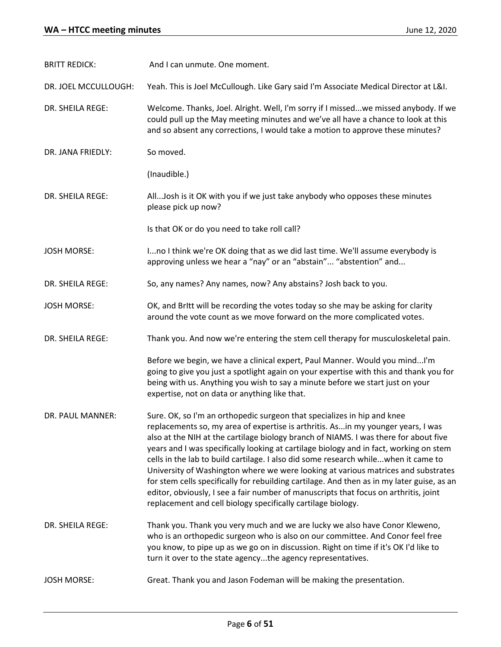| <b>BRITT REDICK:</b> | And I can unmute. One moment.                                                                                                                                                                                                                                                                                                                                                                                                                                                                                                                                                                                                                                                                                                                                                  |
|----------------------|--------------------------------------------------------------------------------------------------------------------------------------------------------------------------------------------------------------------------------------------------------------------------------------------------------------------------------------------------------------------------------------------------------------------------------------------------------------------------------------------------------------------------------------------------------------------------------------------------------------------------------------------------------------------------------------------------------------------------------------------------------------------------------|
| DR. JOEL MCCULLOUGH: | Yeah. This is Joel McCullough. Like Gary said I'm Associate Medical Director at L&I.                                                                                                                                                                                                                                                                                                                                                                                                                                                                                                                                                                                                                                                                                           |
| DR. SHEILA REGE:     | Welcome. Thanks, Joel. Alright. Well, I'm sorry if I missedwe missed anybody. If we<br>could pull up the May meeting minutes and we've all have a chance to look at this<br>and so absent any corrections, I would take a motion to approve these minutes?                                                                                                                                                                                                                                                                                                                                                                                                                                                                                                                     |
| DR. JANA FRIEDLY:    | So moved.                                                                                                                                                                                                                                                                                                                                                                                                                                                                                                                                                                                                                                                                                                                                                                      |
|                      | (Inaudible.)                                                                                                                                                                                                                                                                                                                                                                                                                                                                                                                                                                                                                                                                                                                                                                   |
| DR. SHEILA REGE:     | AllJosh is it OK with you if we just take anybody who opposes these minutes<br>please pick up now?                                                                                                                                                                                                                                                                                                                                                                                                                                                                                                                                                                                                                                                                             |
|                      | Is that OK or do you need to take roll call?                                                                                                                                                                                                                                                                                                                                                                                                                                                                                                                                                                                                                                                                                                                                   |
| <b>JOSH MORSE:</b>   | Ino I think we're OK doing that as we did last time. We'll assume everybody is<br>approving unless we hear a "nay" or an "abstain" "abstention" and                                                                                                                                                                                                                                                                                                                                                                                                                                                                                                                                                                                                                            |
| DR. SHEILA REGE:     | So, any names? Any names, now? Any abstains? Josh back to you.                                                                                                                                                                                                                                                                                                                                                                                                                                                                                                                                                                                                                                                                                                                 |
| <b>JOSH MORSE:</b>   | OK, and Britt will be recording the votes today so she may be asking for clarity<br>around the vote count as we move forward on the more complicated votes.                                                                                                                                                                                                                                                                                                                                                                                                                                                                                                                                                                                                                    |
| DR. SHEILA REGE:     | Thank you. And now we're entering the stem cell therapy for musculoskeletal pain.                                                                                                                                                                                                                                                                                                                                                                                                                                                                                                                                                                                                                                                                                              |
|                      | Before we begin, we have a clinical expert, Paul Manner. Would you mindI'm<br>going to give you just a spotlight again on your expertise with this and thank you for<br>being with us. Anything you wish to say a minute before we start just on your<br>expertise, not on data or anything like that.                                                                                                                                                                                                                                                                                                                                                                                                                                                                         |
| DR. PAUL MANNER:     | Sure. OK, so I'm an orthopedic surgeon that specializes in hip and knee<br>replacements so, my area of expertise is arthritis. Asin my younger years, I was<br>also at the NIH at the cartilage biology branch of NIAMS. I was there for about five<br>years and I was specifically looking at cartilage biology and in fact, working on stem<br>cells in the lab to build cartilage. I also did some research whilewhen it came to<br>University of Washington where we were looking at various matrices and substrates<br>for stem cells specifically for rebuilding cartilage. And then as in my later guise, as an<br>editor, obviously, I see a fair number of manuscripts that focus on arthritis, joint<br>replacement and cell biology specifically cartilage biology. |
| DR. SHEILA REGE:     | Thank you. Thank you very much and we are lucky we also have Conor Kleweno,<br>who is an orthopedic surgeon who is also on our committee. And Conor feel free<br>you know, to pipe up as we go on in discussion. Right on time if it's OK I'd like to<br>turn it over to the state agencythe agency representatives.                                                                                                                                                                                                                                                                                                                                                                                                                                                           |
| <b>JOSH MORSE:</b>   | Great. Thank you and Jason Fodeman will be making the presentation.                                                                                                                                                                                                                                                                                                                                                                                                                                                                                                                                                                                                                                                                                                            |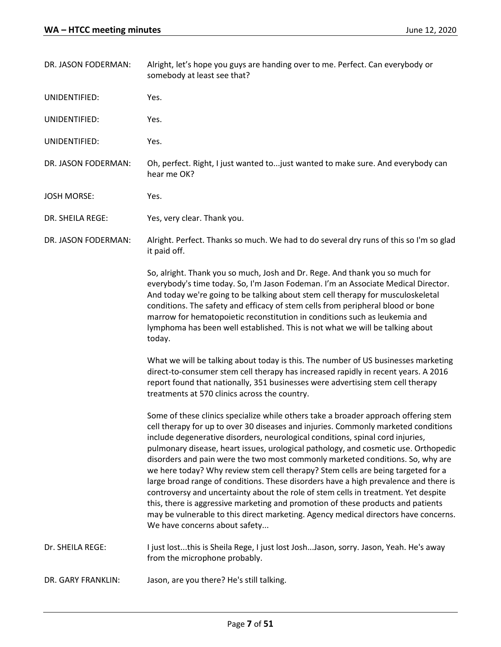| DR. JASON FODERMAN: | Alright, let's hope you guys are handing over to me. Perfect. Can everybody or<br>somebody at least see that?                                                                                                                                                                                                                                                                                                                                                                                                                                                                                                                                                                                                                                                                                                                                                                                                      |
|---------------------|--------------------------------------------------------------------------------------------------------------------------------------------------------------------------------------------------------------------------------------------------------------------------------------------------------------------------------------------------------------------------------------------------------------------------------------------------------------------------------------------------------------------------------------------------------------------------------------------------------------------------------------------------------------------------------------------------------------------------------------------------------------------------------------------------------------------------------------------------------------------------------------------------------------------|
| UNIDENTIFIED:       | Yes.                                                                                                                                                                                                                                                                                                                                                                                                                                                                                                                                                                                                                                                                                                                                                                                                                                                                                                               |
| UNIDENTIFIED:       | Yes.                                                                                                                                                                                                                                                                                                                                                                                                                                                                                                                                                                                                                                                                                                                                                                                                                                                                                                               |
| UNIDENTIFIED:       | Yes.                                                                                                                                                                                                                                                                                                                                                                                                                                                                                                                                                                                                                                                                                                                                                                                                                                                                                                               |
| DR. JASON FODERMAN: | Oh, perfect. Right, I just wanted to just wanted to make sure. And everybody can<br>hear me OK?                                                                                                                                                                                                                                                                                                                                                                                                                                                                                                                                                                                                                                                                                                                                                                                                                    |
| <b>JOSH MORSE:</b>  | Yes.                                                                                                                                                                                                                                                                                                                                                                                                                                                                                                                                                                                                                                                                                                                                                                                                                                                                                                               |
| DR. SHEILA REGE:    | Yes, very clear. Thank you.                                                                                                                                                                                                                                                                                                                                                                                                                                                                                                                                                                                                                                                                                                                                                                                                                                                                                        |
| DR. JASON FODERMAN: | Alright. Perfect. Thanks so much. We had to do several dry runs of this so I'm so glad<br>it paid off.                                                                                                                                                                                                                                                                                                                                                                                                                                                                                                                                                                                                                                                                                                                                                                                                             |
|                     | So, alright. Thank you so much, Josh and Dr. Rege. And thank you so much for<br>everybody's time today. So, I'm Jason Fodeman. I'm an Associate Medical Director.<br>And today we're going to be talking about stem cell therapy for musculoskeletal<br>conditions. The safety and efficacy of stem cells from peripheral blood or bone<br>marrow for hematopoietic reconstitution in conditions such as leukemia and<br>lymphoma has been well established. This is not what we will be talking about<br>today.                                                                                                                                                                                                                                                                                                                                                                                                   |
|                     | What we will be talking about today is this. The number of US businesses marketing<br>direct-to-consumer stem cell therapy has increased rapidly in recent years. A 2016<br>report found that nationally, 351 businesses were advertising stem cell therapy<br>treatments at 570 clinics across the country.                                                                                                                                                                                                                                                                                                                                                                                                                                                                                                                                                                                                       |
|                     | Some of these clinics specialize while others take a broader approach offering stem<br>cell therapy for up to over 30 diseases and injuries. Commonly marketed conditions<br>include degenerative disorders, neurological conditions, spinal cord injuries,<br>pulmonary disease, heart issues, urological pathology, and cosmetic use. Orthopedic<br>disorders and pain were the two most commonly marketed conditions. So, why are<br>we here today? Why review stem cell therapy? Stem cells are being targeted for a<br>large broad range of conditions. These disorders have a high prevalence and there is<br>controversy and uncertainty about the role of stem cells in treatment. Yet despite<br>this, there is aggressive marketing and promotion of these products and patients<br>may be vulnerable to this direct marketing. Agency medical directors have concerns.<br>We have concerns about safety |
| Dr. SHEILA REGE:    | I just lostthis is Sheila Rege, I just lost JoshJason, sorry. Jason, Yeah. He's away<br>from the microphone probably.                                                                                                                                                                                                                                                                                                                                                                                                                                                                                                                                                                                                                                                                                                                                                                                              |
| DR. GARY FRANKLIN:  | Jason, are you there? He's still talking.                                                                                                                                                                                                                                                                                                                                                                                                                                                                                                                                                                                                                                                                                                                                                                                                                                                                          |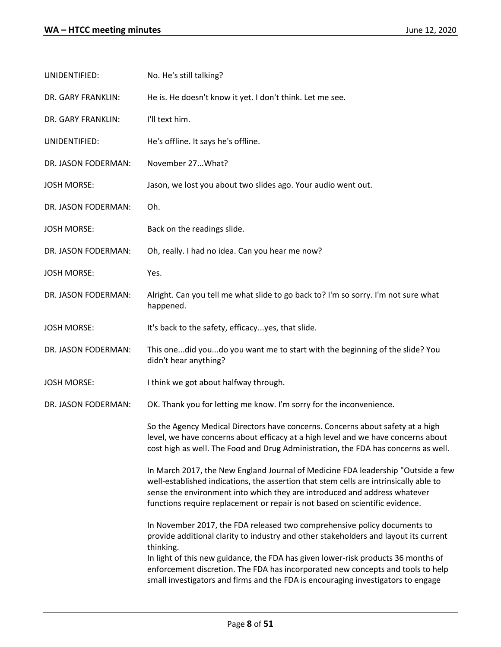| UNIDENTIFIED:       | No. He's still talking?                                                                                                                                                                                                                                                                                                                                                                                                                   |
|---------------------|-------------------------------------------------------------------------------------------------------------------------------------------------------------------------------------------------------------------------------------------------------------------------------------------------------------------------------------------------------------------------------------------------------------------------------------------|
| DR. GARY FRANKLIN:  | He is. He doesn't know it yet. I don't think. Let me see.                                                                                                                                                                                                                                                                                                                                                                                 |
| DR. GARY FRANKLIN:  | I'll text him.                                                                                                                                                                                                                                                                                                                                                                                                                            |
| UNIDENTIFIED:       | He's offline. It says he's offline.                                                                                                                                                                                                                                                                                                                                                                                                       |
| DR. JASON FODERMAN: | November 27What?                                                                                                                                                                                                                                                                                                                                                                                                                          |
| <b>JOSH MORSE:</b>  | Jason, we lost you about two slides ago. Your audio went out.                                                                                                                                                                                                                                                                                                                                                                             |
| DR. JASON FODERMAN: | Oh.                                                                                                                                                                                                                                                                                                                                                                                                                                       |
| <b>JOSH MORSE:</b>  | Back on the readings slide.                                                                                                                                                                                                                                                                                                                                                                                                               |
| DR. JASON FODERMAN: | Oh, really. I had no idea. Can you hear me now?                                                                                                                                                                                                                                                                                                                                                                                           |
| <b>JOSH MORSE:</b>  | Yes.                                                                                                                                                                                                                                                                                                                                                                                                                                      |
| DR. JASON FODERMAN: | Alright. Can you tell me what slide to go back to? I'm so sorry. I'm not sure what<br>happened.                                                                                                                                                                                                                                                                                                                                           |
| <b>JOSH MORSE:</b>  | It's back to the safety, efficacyyes, that slide.                                                                                                                                                                                                                                                                                                                                                                                         |
| DR. JASON FODERMAN: | This onedid youdo you want me to start with the beginning of the slide? You<br>didn't hear anything?                                                                                                                                                                                                                                                                                                                                      |
| <b>JOSH MORSE:</b>  | I think we got about halfway through.                                                                                                                                                                                                                                                                                                                                                                                                     |
| DR. JASON FODERMAN: | OK. Thank you for letting me know. I'm sorry for the inconvenience.                                                                                                                                                                                                                                                                                                                                                                       |
|                     | So the Agency Medical Directors have concerns. Concerns about safety at a high<br>level, we have concerns about efficacy at a high level and we have concerns about<br>cost high as well. The Food and Drug Administration, the FDA has concerns as well.                                                                                                                                                                                 |
|                     | In March 2017, the New England Journal of Medicine FDA leadership "Outside a few<br>well-established indications, the assertion that stem cells are intrinsically able to<br>sense the environment into which they are introduced and address whatever<br>functions require replacement or repair is not based on scientific evidence.                                                                                                    |
|                     | In November 2017, the FDA released two comprehensive policy documents to<br>provide additional clarity to industry and other stakeholders and layout its current<br>thinking.<br>In light of this new guidance, the FDA has given lower-risk products 36 months of<br>enforcement discretion. The FDA has incorporated new concepts and tools to help<br>small investigators and firms and the FDA is encouraging investigators to engage |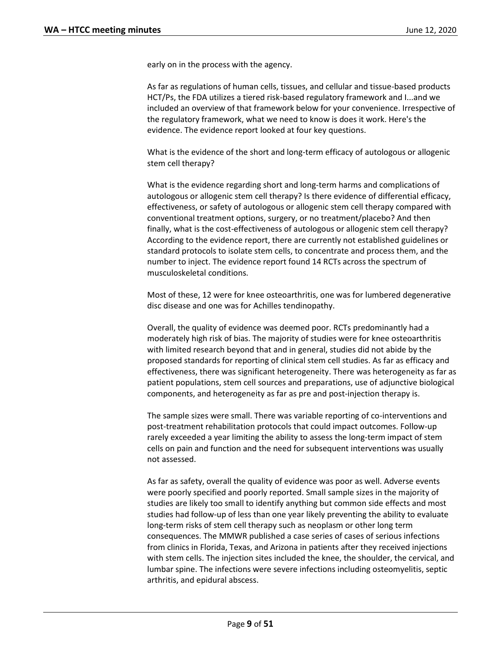early on in the process with the agency.

As far as regulations of human cells, tissues, and cellular and tissue-based products HCT/Ps, the FDA utilizes a tiered risk-based regulatory framework and I...and we included an overview of that framework below for your convenience. Irrespective of the regulatory framework, what we need to know is does it work. Here's the evidence. The evidence report looked at four key questions.

What is the evidence of the short and long-term efficacy of autologous or allogenic stem cell therapy?

What is the evidence regarding short and long-term harms and complications of autologous or allogenic stem cell therapy? Is there evidence of differential efficacy, effectiveness, or safety of autologous or allogenic stem cell therapy compared with conventional treatment options, surgery, or no treatment/placebo? And then finally, what is the cost-effectiveness of autologous or allogenic stem cell therapy? According to the evidence report, there are currently not established guidelines or standard protocols to isolate stem cells, to concentrate and process them, and the number to inject. The evidence report found 14 RCTs across the spectrum of musculoskeletal conditions.

Most of these, 12 were for knee osteoarthritis, one was for lumbered degenerative disc disease and one was for Achilles tendinopathy.

Overall, the quality of evidence was deemed poor. RCTs predominantly had a moderately high risk of bias. The majority of studies were for knee osteoarthritis with limited research beyond that and in general, studies did not abide by the proposed standards for reporting of clinical stem cell studies. As far as efficacy and effectiveness, there was significant heterogeneity. There was heterogeneity as far as patient populations, stem cell sources and preparations, use of adjunctive biological components, and heterogeneity as far as pre and post-injection therapy is.

The sample sizes were small. There was variable reporting of co-interventions and post-treatment rehabilitation protocols that could impact outcomes. Follow-up rarely exceeded a year limiting the ability to assess the long-term impact of stem cells on pain and function and the need for subsequent interventions was usually not assessed.

As far as safety, overall the quality of evidence was poor as well. Adverse events were poorly specified and poorly reported. Small sample sizes in the majority of studies are likely too small to identify anything but common side effects and most studies had follow-up of less than one year likely preventing the ability to evaluate long-term risks of stem cell therapy such as neoplasm or other long term consequences. The MMWR published a case series of cases of serious infections from clinics in Florida, Texas, and Arizona in patients after they received injections with stem cells. The injection sites included the knee, the shoulder, the cervical, and lumbar spine. The infections were severe infections including osteomyelitis, septic arthritis, and epidural abscess.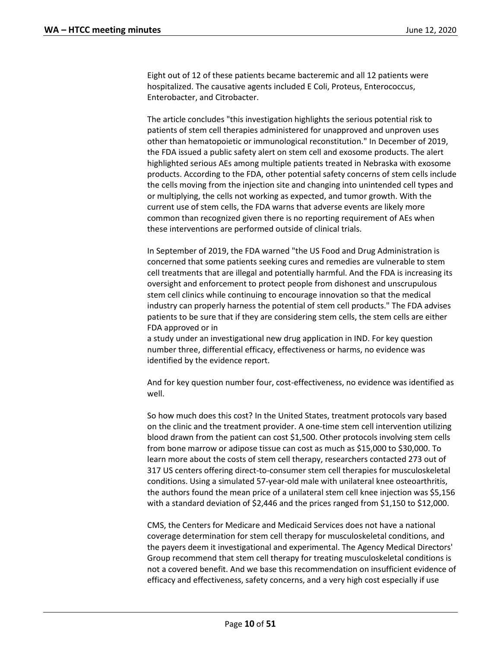Eight out of 12 of these patients became bacteremic and all 12 patients were hospitalized. The causative agents included E Coli, Proteus, Enterococcus, Enterobacter, and Citrobacter.

The article concludes "this investigation highlights the serious potential risk to patients of stem cell therapies administered for unapproved and unproven uses other than hematopoietic or immunological reconstitution." In December of 2019, the FDA issued a public safety alert on stem cell and exosome products. The alert highlighted serious AEs among multiple patients treated in Nebraska with exosome products. According to the FDA, other potential safety concerns of stem cells include the cells moving from the injection site and changing into unintended cell types and or multiplying, the cells not working as expected, and tumor growth. With the current use of stem cells, the FDA warns that adverse events are likely more common than recognized given there is no reporting requirement of AEs when these interventions are performed outside of clinical trials.

In September of 2019, the FDA warned "the US Food and Drug Administration is concerned that some patients seeking cures and remedies are vulnerable to stem cell treatments that are illegal and potentially harmful. And the FDA is increasing its oversight and enforcement to protect people from dishonest and unscrupulous stem cell clinics while continuing to encourage innovation so that the medical industry can properly harness the potential of stem cell products." The FDA advises patients to be sure that if they are considering stem cells, the stem cells are either FDA approved or in

a study under an investigational new drug application in IND. For key question number three, differential efficacy, effectiveness or harms, no evidence was identified by the evidence report.

And for key question number four, cost-effectiveness, no evidence was identified as well.

So how much does this cost? In the United States, treatment protocols vary based on the clinic and the treatment provider. A one-time stem cell intervention utilizing blood drawn from the patient can cost \$1,500. Other protocols involving stem cells from bone marrow or adipose tissue can cost as much as \$15,000 to \$30,000. To learn more about the costs of stem cell therapy, researchers contacted 273 out of 317 US centers offering direct-to-consumer stem cell therapies for musculoskeletal conditions. Using a simulated 57-year-old male with unilateral knee osteoarthritis, the authors found the mean price of a unilateral stem cell knee injection was \$5,156 with a standard deviation of \$2,446 and the prices ranged from \$1,150 to \$12,000.

CMS, the Centers for Medicare and Medicaid Services does not have a national coverage determination for stem cell therapy for musculoskeletal conditions, and the payers deem it investigational and experimental. The Agency Medical Directors' Group recommend that stem cell therapy for treating musculoskeletal conditions is not a covered benefit. And we base this recommendation on insufficient evidence of efficacy and effectiveness, safety concerns, and a very high cost especially if use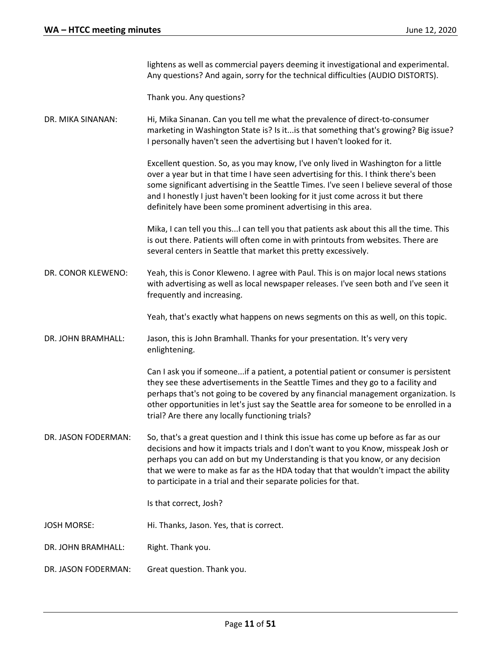lightens as well as commercial payers deeming it investigational and experimental. Any questions? And again, sorry for the technical difficulties (AUDIO DISTORTS).

Thank you. Any questions?

DR. MIKA SINANAN: Hi, Mika Sinanan. Can you tell me what the prevalence of direct-to-consumer marketing in Washington State is? Is it...is that something that's growing? Big issue? I personally haven't seen the advertising but I haven't looked for it.

> Excellent question. So, as you may know, I've only lived in Washington for a little over a year but in that time I have seen advertising for this. I think there's been some significant advertising in the Seattle Times. I've seen I believe several of those and I honestly I just haven't been looking for it just come across it but there definitely have been some prominent advertising in this area.

> Mika, I can tell you this...I can tell you that patients ask about this all the time. This is out there. Patients will often come in with printouts from websites. There are several centers in Seattle that market this pretty excessively.

DR. CONOR KLEWENO: Yeah, this is Conor Kleweno. I agree with Paul. This is on major local news stations with advertising as well as local newspaper releases. I've seen both and I've seen it frequently and increasing.

Yeah, that's exactly what happens on news segments on this as well, on this topic.

DR. JOHN BRAMHALL: Jason, this is John Bramhall. Thanks for your presentation. It's very very enlightening.

> Can I ask you if someone...if a patient, a potential patient or consumer is persistent they see these advertisements in the Seattle Times and they go to a facility and perhaps that's not going to be covered by any financial management organization. Is other opportunities in let's just say the Seattle area for someone to be enrolled in a trial? Are there any locally functioning trials?

DR. JASON FODERMAN: So, that's a great question and I think this issue has come up before as far as our decisions and how it impacts trials and I don't want to you Know, misspeak Josh or perhaps you can add on but my Understanding is that you know, or any decision that we were to make as far as the HDA today that that wouldn't impact the ability to participate in a trial and their separate policies for that.

Is that correct, Josh?

- JOSH MORSE: Hi. Thanks, Jason. Yes, that is correct.
- DR. JOHN BRAMHALL: Right. Thank you.
- DR. JASON FODERMAN: Great question. Thank you.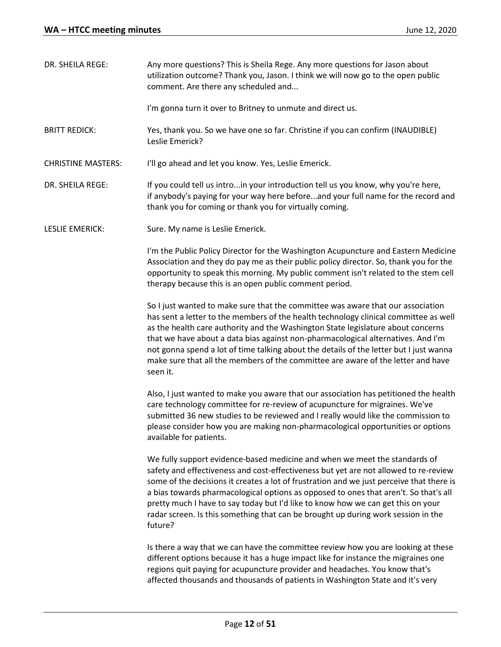| DR. SHEILA REGE:          | Any more questions? This is Sheila Rege. Any more questions for Jason about<br>utilization outcome? Thank you, Jason. I think we will now go to the open public<br>comment. Are there any scheduled and                                                                                                                                                                                                                                                                                                                                    |
|---------------------------|--------------------------------------------------------------------------------------------------------------------------------------------------------------------------------------------------------------------------------------------------------------------------------------------------------------------------------------------------------------------------------------------------------------------------------------------------------------------------------------------------------------------------------------------|
|                           | I'm gonna turn it over to Britney to unmute and direct us.                                                                                                                                                                                                                                                                                                                                                                                                                                                                                 |
| <b>BRITT REDICK:</b>      | Yes, thank you. So we have one so far. Christine if you can confirm (INAUDIBLE)<br>Leslie Emerick?                                                                                                                                                                                                                                                                                                                                                                                                                                         |
| <b>CHRISTINE MASTERS:</b> | I'll go ahead and let you know. Yes, Leslie Emerick.                                                                                                                                                                                                                                                                                                                                                                                                                                                                                       |
| DR. SHEILA REGE:          | If you could tell us introin your introduction tell us you know, why you're here,<br>if anybody's paying for your way here beforeand your full name for the record and<br>thank you for coming or thank you for virtually coming.                                                                                                                                                                                                                                                                                                          |
| LESLIE EMERICK:           | Sure. My name is Leslie Emerick.                                                                                                                                                                                                                                                                                                                                                                                                                                                                                                           |
|                           | I'm the Public Policy Director for the Washington Acupuncture and Eastern Medicine<br>Association and they do pay me as their public policy director. So, thank you for the<br>opportunity to speak this morning. My public comment isn't related to the stem cell<br>therapy because this is an open public comment period.                                                                                                                                                                                                               |
|                           | So I just wanted to make sure that the committee was aware that our association<br>has sent a letter to the members of the health technology clinical committee as well<br>as the health care authority and the Washington State legislature about concerns<br>that we have about a data bias against non-pharmacological alternatives. And I'm<br>not gonna spend a lot of time talking about the details of the letter but I just wanna<br>make sure that all the members of the committee are aware of the letter and have<br>seen it.  |
|                           | Also, I just wanted to make you aware that our association has petitioned the health<br>care technology committee for re-review of acupuncture for migraines. We've<br>submitted 36 new studies to be reviewed and I really would like the commission to<br>please consider how you are making non-pharmacological opportunities or options<br>available for patients.                                                                                                                                                                     |
|                           | We fully support evidence-based medicine and when we meet the standards of<br>safety and effectiveness and cost-effectiveness but yet are not allowed to re-review<br>some of the decisions it creates a lot of frustration and we just perceive that there is<br>a bias towards pharmacological options as opposed to ones that aren't. So that's all<br>pretty much I have to say today but I'd like to know how we can get this on your<br>radar screen. Is this something that can be brought up during work session in the<br>future? |
|                           | Is there a way that we can have the committee review how you are looking at these<br>different options because it has a huge impact like for instance the migraines one<br>regions quit paying for acupuncture provider and headaches. You know that's<br>affected thousands and thousands of patients in Washington State and it's very                                                                                                                                                                                                   |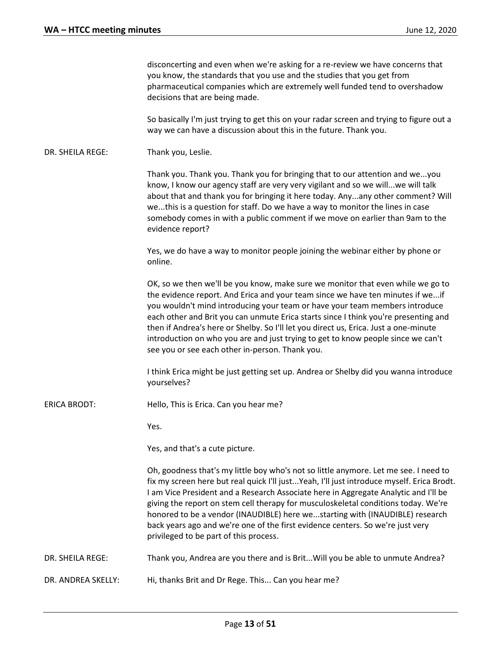|                     | disconcerting and even when we're asking for a re-review we have concerns that<br>you know, the standards that you use and the studies that you get from<br>pharmaceutical companies which are extremely well funded tend to overshadow<br>decisions that are being made.                                                                                                                                                                                                                                                                                                  |
|---------------------|----------------------------------------------------------------------------------------------------------------------------------------------------------------------------------------------------------------------------------------------------------------------------------------------------------------------------------------------------------------------------------------------------------------------------------------------------------------------------------------------------------------------------------------------------------------------------|
|                     | So basically I'm just trying to get this on your radar screen and trying to figure out a<br>way we can have a discussion about this in the future. Thank you.                                                                                                                                                                                                                                                                                                                                                                                                              |
| DR. SHEILA REGE:    | Thank you, Leslie.                                                                                                                                                                                                                                                                                                                                                                                                                                                                                                                                                         |
|                     | Thank you. Thank you. Thank you for bringing that to our attention and weyou<br>know, I know our agency staff are very very vigilant and so we willwe will talk<br>about that and thank you for bringing it here today. Anyany other comment? Will<br>wethis is a question for staff. Do we have a way to monitor the lines in case<br>somebody comes in with a public comment if we move on earlier than 9am to the<br>evidence report?                                                                                                                                   |
|                     | Yes, we do have a way to monitor people joining the webinar either by phone or<br>online.                                                                                                                                                                                                                                                                                                                                                                                                                                                                                  |
|                     | OK, so we then we'll be you know, make sure we monitor that even while we go to<br>the evidence report. And Erica and your team since we have ten minutes if weif<br>you wouldn't mind introducing your team or have your team members introduce<br>each other and Brit you can unmute Erica starts since I think you're presenting and<br>then if Andrea's here or Shelby. So I'll let you direct us, Erica. Just a one-minute<br>introduction on who you are and just trying to get to know people since we can't<br>see you or see each other in-person. Thank you.     |
|                     | I think Erica might be just getting set up. Andrea or Shelby did you wanna introduce<br>yourselves?                                                                                                                                                                                                                                                                                                                                                                                                                                                                        |
| <b>ERICA BRODT:</b> | Hello, This is Erica. Can you hear me?                                                                                                                                                                                                                                                                                                                                                                                                                                                                                                                                     |
|                     | Yes.                                                                                                                                                                                                                                                                                                                                                                                                                                                                                                                                                                       |
|                     | Yes, and that's a cute picture.                                                                                                                                                                                                                                                                                                                                                                                                                                                                                                                                            |
|                     | Oh, goodness that's my little boy who's not so little anymore. Let me see. I need to<br>fix my screen here but real quick I'll justYeah, I'll just introduce myself. Erica Brodt.<br>I am Vice President and a Research Associate here in Aggregate Analytic and I'll be<br>giving the report on stem cell therapy for musculoskeletal conditions today. We're<br>honored to be a vendor (INAUDIBLE) here westarting with (INAUDIBLE) research<br>back years ago and we're one of the first evidence centers. So we're just very<br>privileged to be part of this process. |
| DR. SHEILA REGE:    | Thank you, Andrea are you there and is Brit Will you be able to unmute Andrea?                                                                                                                                                                                                                                                                                                                                                                                                                                                                                             |
| DR. ANDREA SKELLY:  | Hi, thanks Brit and Dr Rege. This Can you hear me?                                                                                                                                                                                                                                                                                                                                                                                                                                                                                                                         |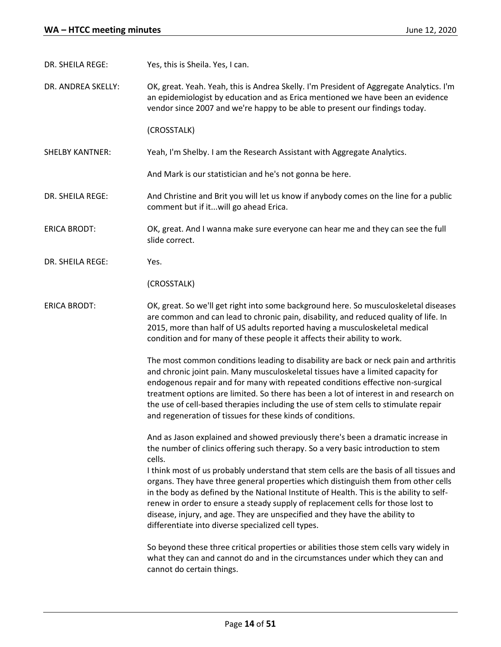DR. SHEILA REGE: Yes, this is Sheila. Yes, I can.

DR. ANDREA SKELLY: OK, great. Yeah. Yeah, this is Andrea Skelly. I'm President of Aggregate Analytics. I'm an epidemiologist by education and as Erica mentioned we have been an evidence vendor since 2007 and we're happy to be able to present our findings today.

(CROSSTALK)

SHELBY KANTNER: Yeah, I'm Shelby. I am the Research Assistant with Aggregate Analytics.

And Mark is our statistician and he's not gonna be here.

- DR. SHEILA REGE: And Christine and Brit you will let us know if anybody comes on the line for a public comment but if it...will go ahead Erica.
- ERICA BRODT: OK, great. And I wanna make sure everyone can hear me and they can see the full slide correct.
- DR. SHEILA REGE: Yes.

(CROSSTALK)

ERICA BRODT: OK, great. So we'll get right into some background here. So musculoskeletal diseases are common and can lead to chronic pain, disability, and reduced quality of life. In 2015, more than half of US adults reported having a musculoskeletal medical condition and for many of these people it affects their ability to work.

> The most common conditions leading to disability are back or neck pain and arthritis and chronic joint pain. Many musculoskeletal tissues have a limited capacity for endogenous repair and for many with repeated conditions effective non-surgical treatment options are limited. So there has been a lot of interest in and research on the use of cell-based therapies including the use of stem cells to stimulate repair and regeneration of tissues for these kinds of conditions.

And as Jason explained and showed previously there's been a dramatic increase in the number of clinics offering such therapy. So a very basic introduction to stem cells.

I think most of us probably understand that stem cells are the basis of all tissues and organs. They have three general properties which distinguish them from other cells in the body as defined by the National Institute of Health. This is the ability to selfrenew in order to ensure a steady supply of replacement cells for those lost to disease, injury, and age. They are unspecified and they have the ability to differentiate into diverse specialized cell types.

So beyond these three critical properties or abilities those stem cells vary widely in what they can and cannot do and in the circumstances under which they can and cannot do certain things.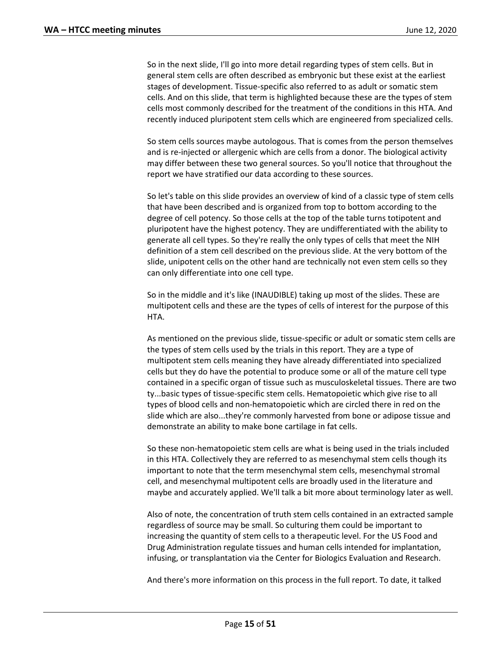So in the next slide, I'll go into more detail regarding types of stem cells. But in general stem cells are often described as embryonic but these exist at the earliest stages of development. Tissue-specific also referred to as adult or somatic stem cells. And on this slide, that term is highlighted because these are the types of stem cells most commonly described for the treatment of the conditions in this HTA. And recently induced pluripotent stem cells which are engineered from specialized cells.

So stem cells sources maybe autologous. That is comes from the person themselves and is re-injected or allergenic which are cells from a donor. The biological activity may differ between these two general sources. So you'll notice that throughout the report we have stratified our data according to these sources.

So let's table on this slide provides an overview of kind of a classic type of stem cells that have been described and is organized from top to bottom according to the degree of cell potency. So those cells at the top of the table turns totipotent and pluripotent have the highest potency. They are undifferentiated with the ability to generate all cell types. So they're really the only types of cells that meet the NIH definition of a stem cell described on the previous slide. At the very bottom of the slide, unipotent cells on the other hand are technically not even stem cells so they can only differentiate into one cell type.

So in the middle and it's like (INAUDIBLE) taking up most of the slides. These are multipotent cells and these are the types of cells of interest for the purpose of this HTA.

As mentioned on the previous slide, tissue-specific or adult or somatic stem cells are the types of stem cells used by the trials in this report. They are a type of multipotent stem cells meaning they have already differentiated into specialized cells but they do have the potential to produce some or all of the mature cell type contained in a specific organ of tissue such as musculoskeletal tissues. There are two ty...basic types of tissue-specific stem cells. Hematopoietic which give rise to all types of blood cells and non-hematopoietic which are circled there in red on the slide which are also...they're commonly harvested from bone or adipose tissue and demonstrate an ability to make bone cartilage in fat cells.

So these non-hematopoietic stem cells are what is being used in the trials included in this HTA. Collectively they are referred to as mesenchymal stem cells though its important to note that the term mesenchymal stem cells, mesenchymal stromal cell, and mesenchymal multipotent cells are broadly used in the literature and maybe and accurately applied. We'll talk a bit more about terminology later as well.

Also of note, the concentration of truth stem cells contained in an extracted sample regardless of source may be small. So culturing them could be important to increasing the quantity of stem cells to a therapeutic level. For the US Food and Drug Administration regulate tissues and human cells intended for implantation, infusing, or transplantation via the Center for Biologics Evaluation and Research.

And there's more information on this process in the full report. To date, it talked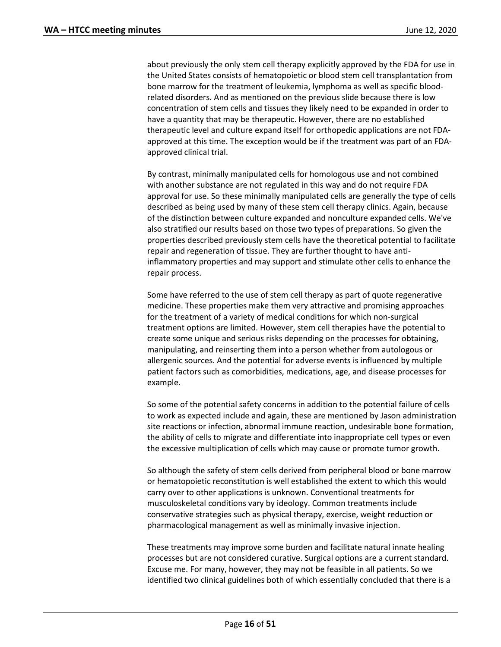about previously the only stem cell therapy explicitly approved by the FDA for use in the United States consists of hematopoietic or blood stem cell transplantation from bone marrow for the treatment of leukemia, lymphoma as well as specific bloodrelated disorders. And as mentioned on the previous slide because there is low concentration of stem cells and tissues they likely need to be expanded in order to have a quantity that may be therapeutic. However, there are no established therapeutic level and culture expand itself for orthopedic applications are not FDAapproved at this time. The exception would be if the treatment was part of an FDAapproved clinical trial.

By contrast, minimally manipulated cells for homologous use and not combined with another substance are not regulated in this way and do not require FDA approval for use. So these minimally manipulated cells are generally the type of cells described as being used by many of these stem cell therapy clinics. Again, because of the distinction between culture expanded and nonculture expanded cells. We've also stratified our results based on those two types of preparations. So given the properties described previously stem cells have the theoretical potential to facilitate repair and regeneration of tissue. They are further thought to have antiinflammatory properties and may support and stimulate other cells to enhance the repair process.

Some have referred to the use of stem cell therapy as part of quote regenerative medicine. These properties make them very attractive and promising approaches for the treatment of a variety of medical conditions for which non-surgical treatment options are limited. However, stem cell therapies have the potential to create some unique and serious risks depending on the processes for obtaining, manipulating, and reinserting them into a person whether from autologous or allergenic sources. And the potential for adverse events is influenced by multiple patient factors such as comorbidities, medications, age, and disease processes for example.

So some of the potential safety concerns in addition to the potential failure of cells to work as expected include and again, these are mentioned by Jason administration site reactions or infection, abnormal immune reaction, undesirable bone formation, the ability of cells to migrate and differentiate into inappropriate cell types or even the excessive multiplication of cells which may cause or promote tumor growth.

So although the safety of stem cells derived from peripheral blood or bone marrow or hematopoietic reconstitution is well established the extent to which this would carry over to other applications is unknown. Conventional treatments for musculoskeletal conditions vary by ideology. Common treatments include conservative strategies such as physical therapy, exercise, weight reduction or pharmacological management as well as minimally invasive injection.

These treatments may improve some burden and facilitate natural innate healing processes but are not considered curative. Surgical options are a current standard. Excuse me. For many, however, they may not be feasible in all patients. So we identified two clinical guidelines both of which essentially concluded that there is a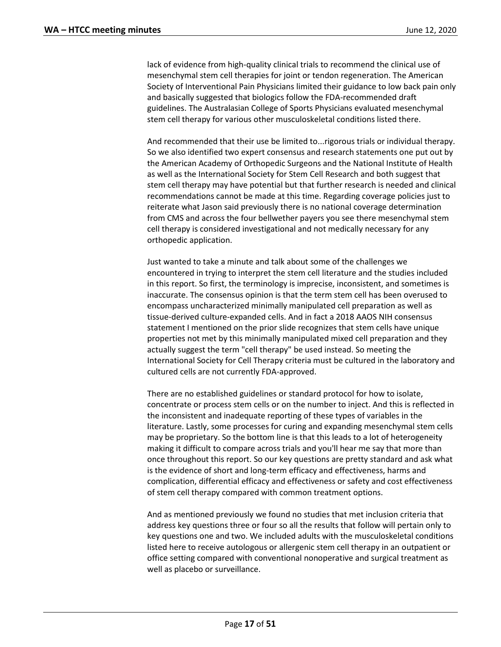lack of evidence from high-quality clinical trials to recommend the clinical use of mesenchymal stem cell therapies for joint or tendon regeneration. The American Society of Interventional Pain Physicians limited their guidance to low back pain only and basically suggested that biologics follow the FDA-recommended draft guidelines. The Australasian College of Sports Physicians evaluated mesenchymal stem cell therapy for various other musculoskeletal conditions listed there.

And recommended that their use be limited to...rigorous trials or individual therapy. So we also identified two expert consensus and research statements one put out by the American Academy of Orthopedic Surgeons and the National Institute of Health as well as the International Society for Stem Cell Research and both suggest that stem cell therapy may have potential but that further research is needed and clinical recommendations cannot be made at this time. Regarding coverage policies just to reiterate what Jason said previously there is no national coverage determination from CMS and across the four bellwether payers you see there mesenchymal stem cell therapy is considered investigational and not medically necessary for any orthopedic application.

Just wanted to take a minute and talk about some of the challenges we encountered in trying to interpret the stem cell literature and the studies included in this report. So first, the terminology is imprecise, inconsistent, and sometimes is inaccurate. The consensus opinion is that the term stem cell has been overused to encompass uncharacterized minimally manipulated cell preparation as well as tissue-derived culture-expanded cells. And in fact a 2018 AAOS NIH consensus statement I mentioned on the prior slide recognizes that stem cells have unique properties not met by this minimally manipulated mixed cell preparation and they actually suggest the term "cell therapy" be used instead. So meeting the International Society for Cell Therapy criteria must be cultured in the laboratory and cultured cells are not currently FDA-approved.

There are no established guidelines or standard protocol for how to isolate, concentrate or process stem cells or on the number to inject. And this is reflected in the inconsistent and inadequate reporting of these types of variables in the literature. Lastly, some processes for curing and expanding mesenchymal stem cells may be proprietary. So the bottom line is that this leads to a lot of heterogeneity making it difficult to compare across trials and you'll hear me say that more than once throughout this report. So our key questions are pretty standard and ask what is the evidence of short and long-term efficacy and effectiveness, harms and complication, differential efficacy and effectiveness or safety and cost effectiveness of stem cell therapy compared with common treatment options.

And as mentioned previously we found no studies that met inclusion criteria that address key questions three or four so all the results that follow will pertain only to key questions one and two. We included adults with the musculoskeletal conditions listed here to receive autologous or allergenic stem cell therapy in an outpatient or office setting compared with conventional nonoperative and surgical treatment as well as placebo or surveillance.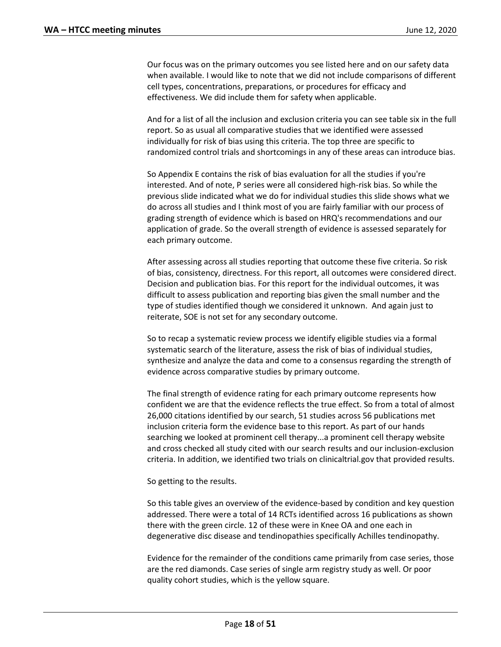Our focus was on the primary outcomes you see listed here and on our safety data when available. I would like to note that we did not include comparisons of different cell types, concentrations, preparations, or procedures for efficacy and effectiveness. We did include them for safety when applicable.

And for a list of all the inclusion and exclusion criteria you can see table six in the full report. So as usual all comparative studies that we identified were assessed individually for risk of bias using this criteria. The top three are specific to randomized control trials and shortcomings in any of these areas can introduce bias.

So Appendix E contains the risk of bias evaluation for all the studies if you're interested. And of note, P series were all considered high-risk bias. So while the previous slide indicated what we do for individual studies this slide shows what we do across all studies and I think most of you are fairly familiar with our process of grading strength of evidence which is based on HRQ's recommendations and our application of grade. So the overall strength of evidence is assessed separately for each primary outcome.

After assessing across all studies reporting that outcome these five criteria. So risk of bias, consistency, directness. For this report, all outcomes were considered direct. Decision and publication bias. For this report for the individual outcomes, it was difficult to assess publication and reporting bias given the small number and the type of studies identified though we considered it unknown. And again just to reiterate, SOE is not set for any secondary outcome.

So to recap a systematic review process we identify eligible studies via a formal systematic search of the literature, assess the risk of bias of individual studies, synthesize and analyze the data and come to a consensus regarding the strength of evidence across comparative studies by primary outcome.

The final strength of evidence rating for each primary outcome represents how confident we are that the evidence reflects the true effect. So from a total of almost 26,000 citations identified by our search, 51 studies across 56 publications met inclusion criteria form the evidence base to this report. As part of our hands searching we looked at prominent cell therapy...a prominent cell therapy website and cross checked all study cited with our search results and our inclusion-exclusion criteria. In addition, we identified two trials on clinicaltrial.gov that provided results.

So getting to the results.

So this table gives an overview of the evidence-based by condition and key question addressed. There were a total of 14 RCTs identified across 16 publications as shown there with the green circle. 12 of these were in Knee OA and one each in degenerative disc disease and tendinopathies specifically Achilles tendinopathy.

Evidence for the remainder of the conditions came primarily from case series, those are the red diamonds. Case series of single arm registry study as well. Or poor quality cohort studies, which is the yellow square.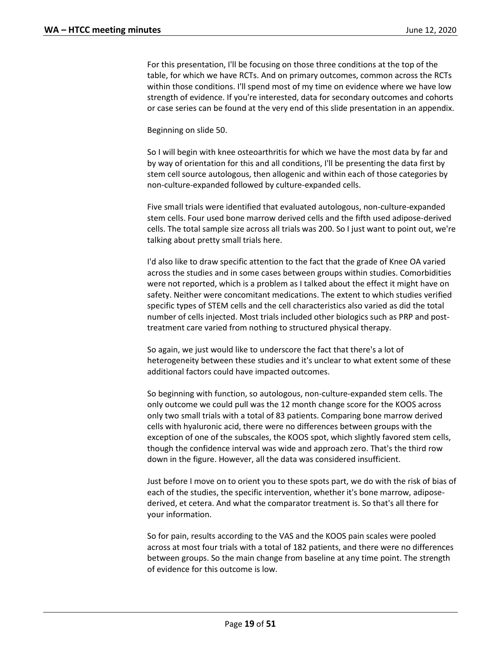For this presentation, I'll be focusing on those three conditions at the top of the table, for which we have RCTs. And on primary outcomes, common across the RCTs within those conditions. I'll spend most of my time on evidence where we have low strength of evidence. If you're interested, data for secondary outcomes and cohorts or case series can be found at the very end of this slide presentation in an appendix.

Beginning on slide 50.

So I will begin with knee osteoarthritis for which we have the most data by far and by way of orientation for this and all conditions, I'll be presenting the data first by stem cell source autologous, then allogenic and within each of those categories by non-culture-expanded followed by culture-expanded cells.

Five small trials were identified that evaluated autologous, non-culture-expanded stem cells. Four used bone marrow derived cells and the fifth used adipose-derived cells. The total sample size across all trials was 200. So I just want to point out, we're talking about pretty small trials here.

I'd also like to draw specific attention to the fact that the grade of Knee OA varied across the studies and in some cases between groups within studies. Comorbidities were not reported, which is a problem as I talked about the effect it might have on safety. Neither were concomitant medications. The extent to which studies verified specific types of STEM cells and the cell characteristics also varied as did the total number of cells injected. Most trials included other biologics such as PRP and posttreatment care varied from nothing to structured physical therapy.

So again, we just would like to underscore the fact that there's a lot of heterogeneity between these studies and it's unclear to what extent some of these additional factors could have impacted outcomes.

So beginning with function, so autologous, non-culture-expanded stem cells. The only outcome we could pull was the 12 month change score for the KOOS across only two small trials with a total of 83 patients. Comparing bone marrow derived cells with hyaluronic acid, there were no differences between groups with the exception of one of the subscales, the KOOS spot, which slightly favored stem cells, though the confidence interval was wide and approach zero. That's the third row down in the figure. However, all the data was considered insufficient.

Just before I move on to orient you to these spots part, we do with the risk of bias of each of the studies, the specific intervention, whether it's bone marrow, adiposederived, et cetera. And what the comparator treatment is. So that's all there for your information.

So for pain, results according to the VAS and the KOOS pain scales were pooled across at most four trials with a total of 182 patients, and there were no differences between groups. So the main change from baseline at any time point. The strength of evidence for this outcome is low.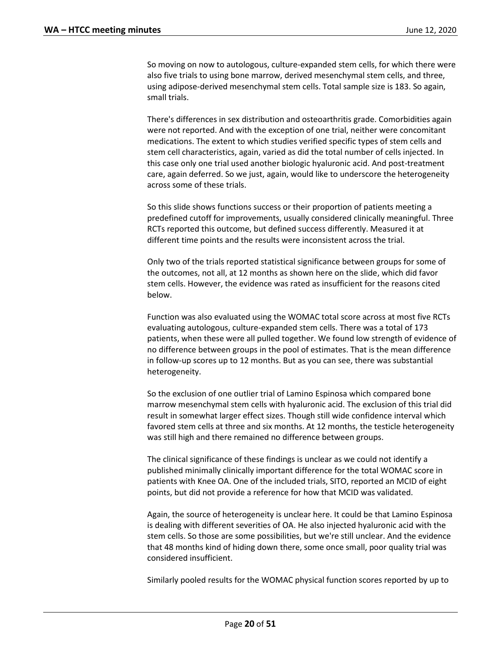So moving on now to autologous, culture-expanded stem cells, for which there were also five trials to using bone marrow, derived mesenchymal stem cells, and three, using adipose-derived mesenchymal stem cells. Total sample size is 183. So again, small trials.

There's differences in sex distribution and osteoarthritis grade. Comorbidities again were not reported. And with the exception of one trial, neither were concomitant medications. The extent to which studies verified specific types of stem cells and stem cell characteristics, again, varied as did the total number of cells injected. In this case only one trial used another biologic hyaluronic acid. And post-treatment care, again deferred. So we just, again, would like to underscore the heterogeneity across some of these trials.

So this slide shows functions success or their proportion of patients meeting a predefined cutoff for improvements, usually considered clinically meaningful. Three RCTs reported this outcome, but defined success differently. Measured it at different time points and the results were inconsistent across the trial.

Only two of the trials reported statistical significance between groups for some of the outcomes, not all, at 12 months as shown here on the slide, which did favor stem cells. However, the evidence was rated as insufficient for the reasons cited below.

Function was also evaluated using the WOMAC total score across at most five RCTs evaluating autologous, culture-expanded stem cells. There was a total of 173 patients, when these were all pulled together. We found low strength of evidence of no difference between groups in the pool of estimates. That is the mean difference in follow-up scores up to 12 months. But as you can see, there was substantial heterogeneity.

So the exclusion of one outlier trial of Lamino Espinosa which compared bone marrow mesenchymal stem cells with hyaluronic acid. The exclusion of this trial did result in somewhat larger effect sizes. Though still wide confidence interval which favored stem cells at three and six months. At 12 months, the testicle heterogeneity was still high and there remained no difference between groups.

The clinical significance of these findings is unclear as we could not identify a published minimally clinically important difference for the total WOMAC score in patients with Knee OA. One of the included trials, SITO, reported an MCID of eight points, but did not provide a reference for how that MCID was validated.

Again, the source of heterogeneity is unclear here. It could be that Lamino Espinosa is dealing with different severities of OA. He also injected hyaluronic acid with the stem cells. So those are some possibilities, but we're still unclear. And the evidence that 48 months kind of hiding down there, some once small, poor quality trial was considered insufficient.

Similarly pooled results for the WOMAC physical function scores reported by up to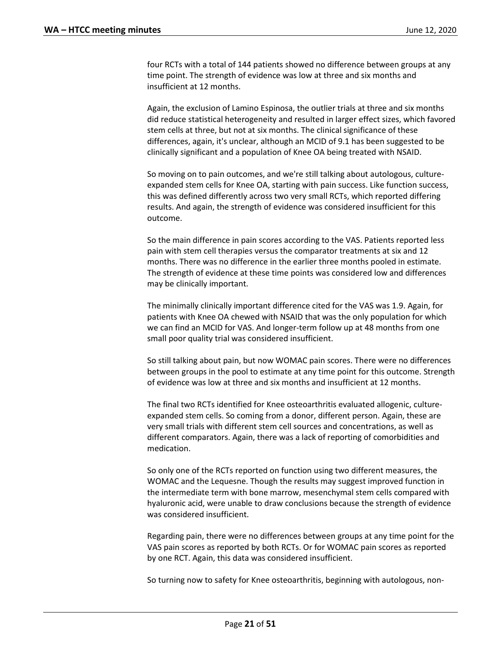four RCTs with a total of 144 patients showed no difference between groups at any time point. The strength of evidence was low at three and six months and insufficient at 12 months.

Again, the exclusion of Lamino Espinosa, the outlier trials at three and six months did reduce statistical heterogeneity and resulted in larger effect sizes, which favored stem cells at three, but not at six months. The clinical significance of these differences, again, it's unclear, although an MCID of 9.1 has been suggested to be clinically significant and a population of Knee OA being treated with NSAID.

So moving on to pain outcomes, and we're still talking about autologous, cultureexpanded stem cells for Knee OA, starting with pain success. Like function success, this was defined differently across two very small RCTs, which reported differing results. And again, the strength of evidence was considered insufficient for this outcome.

So the main difference in pain scores according to the VAS. Patients reported less pain with stem cell therapies versus the comparator treatments at six and 12 months. There was no difference in the earlier three months pooled in estimate. The strength of evidence at these time points was considered low and differences may be clinically important.

The minimally clinically important difference cited for the VAS was 1.9. Again, for patients with Knee OA chewed with NSAID that was the only population for which we can find an MCID for VAS. And longer-term follow up at 48 months from one small poor quality trial was considered insufficient.

So still talking about pain, but now WOMAC pain scores. There were no differences between groups in the pool to estimate at any time point for this outcome. Strength of evidence was low at three and six months and insufficient at 12 months.

The final two RCTs identified for Knee osteoarthritis evaluated allogenic, cultureexpanded stem cells. So coming from a donor, different person. Again, these are very small trials with different stem cell sources and concentrations, as well as different comparators. Again, there was a lack of reporting of comorbidities and medication.

So only one of the RCTs reported on function using two different measures, the WOMAC and the Lequesne. Though the results may suggest improved function in the intermediate term with bone marrow, mesenchymal stem cells compared with hyaluronic acid, were unable to draw conclusions because the strength of evidence was considered insufficient.

Regarding pain, there were no differences between groups at any time point for the VAS pain scores as reported by both RCTs. Or for WOMAC pain scores as reported by one RCT. Again, this data was considered insufficient.

So turning now to safety for Knee osteoarthritis, beginning with autologous, non-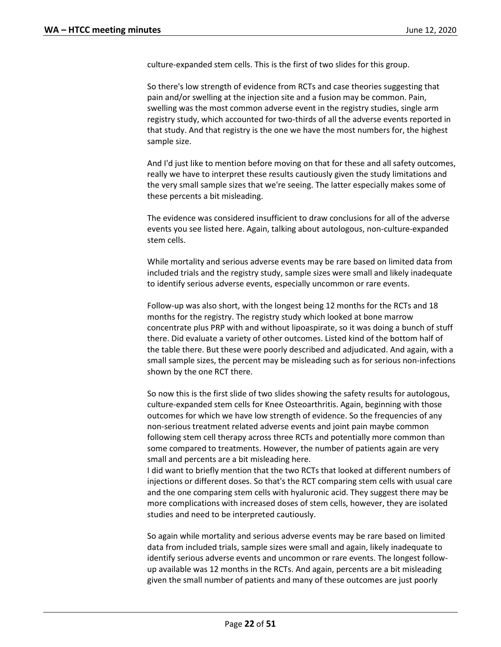culture-expanded stem cells. This is the first of two slides for this group.

So there's low strength of evidence from RCTs and case theories suggesting that pain and/or swelling at the injection site and a fusion may be common. Pain, swelling was the most common adverse event in the registry studies, single arm registry study, which accounted for two-thirds of all the adverse events reported in that study. And that registry is the one we have the most numbers for, the highest sample size.

And I'd just like to mention before moving on that for these and all safety outcomes, really we have to interpret these results cautiously given the study limitations and the very small sample sizes that we're seeing. The latter especially makes some of these percents a bit misleading.

The evidence was considered insufficient to draw conclusions for all of the adverse events you see listed here. Again, talking about autologous, non-culture-expanded stem cells.

While mortality and serious adverse events may be rare based on limited data from included trials and the registry study, sample sizes were small and likely inadequate to identify serious adverse events, especially uncommon or rare events.

Follow-up was also short, with the longest being 12 months for the RCTs and 18 months for the registry. The registry study which looked at bone marrow concentrate plus PRP with and without lipoaspirate, so it was doing a bunch of stuff there. Did evaluate a variety of other outcomes. Listed kind of the bottom half of the table there. But these were poorly described and adjudicated. And again, with a small sample sizes, the percent may be misleading such as for serious non-infections shown by the one RCT there.

So now this is the first slide of two slides showing the safety results for autologous, culture-expanded stem cells for Knee Osteoarthritis. Again, beginning with those outcomes for which we have low strength of evidence. So the frequencies of any non-serious treatment related adverse events and joint pain maybe common following stem cell therapy across three RCTs and potentially more common than some compared to treatments. However, the number of patients again are very small and percents are a bit misleading here.

I did want to briefly mention that the two RCTs that looked at different numbers of injections or different doses. So that's the RCT comparing stem cells with usual care and the one comparing stem cells with hyaluronic acid. They suggest there may be more complications with increased doses of stem cells, however, they are isolated studies and need to be interpreted cautiously.

So again while mortality and serious adverse events may be rare based on limited data from included trials, sample sizes were small and again, likely inadequate to identify serious adverse events and uncommon or rare events. The longest followup available was 12 months in the RCTs. And again, percents are a bit misleading given the small number of patients and many of these outcomes are just poorly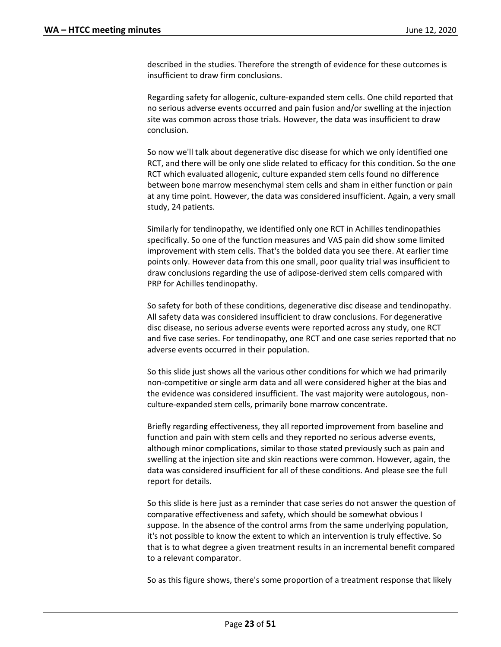described in the studies. Therefore the strength of evidence for these outcomes is insufficient to draw firm conclusions.

Regarding safety for allogenic, culture-expanded stem cells. One child reported that no serious adverse events occurred and pain fusion and/or swelling at the injection site was common across those trials. However, the data was insufficient to draw conclusion.

So now we'll talk about degenerative disc disease for which we only identified one RCT, and there will be only one slide related to efficacy for this condition. So the one RCT which evaluated allogenic, culture expanded stem cells found no difference between bone marrow mesenchymal stem cells and sham in either function or pain at any time point. However, the data was considered insufficient. Again, a very small study, 24 patients.

Similarly for tendinopathy, we identified only one RCT in Achilles tendinopathies specifically. So one of the function measures and VAS pain did show some limited improvement with stem cells. That's the bolded data you see there. At earlier time points only. However data from this one small, poor quality trial was insufficient to draw conclusions regarding the use of adipose-derived stem cells compared with PRP for Achilles tendinopathy.

So safety for both of these conditions, degenerative disc disease and tendinopathy. All safety data was considered insufficient to draw conclusions. For degenerative disc disease, no serious adverse events were reported across any study, one RCT and five case series. For tendinopathy, one RCT and one case series reported that no adverse events occurred in their population.

So this slide just shows all the various other conditions for which we had primarily non-competitive or single arm data and all were considered higher at the bias and the evidence was considered insufficient. The vast majority were autologous, nonculture-expanded stem cells, primarily bone marrow concentrate.

Briefly regarding effectiveness, they all reported improvement from baseline and function and pain with stem cells and they reported no serious adverse events, although minor complications, similar to those stated previously such as pain and swelling at the injection site and skin reactions were common. However, again, the data was considered insufficient for all of these conditions. And please see the full report for details.

So this slide is here just as a reminder that case series do not answer the question of comparative effectiveness and safety, which should be somewhat obvious I suppose. In the absence of the control arms from the same underlying population, it's not possible to know the extent to which an intervention is truly effective. So that is to what degree a given treatment results in an incremental benefit compared to a relevant comparator.

So as this figure shows, there's some proportion of a treatment response that likely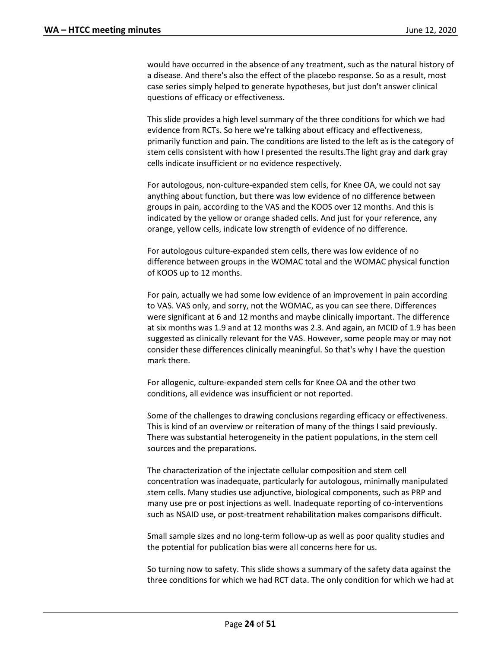would have occurred in the absence of any treatment, such as the natural history of a disease. And there's also the effect of the placebo response. So as a result, most case series simply helped to generate hypotheses, but just don't answer clinical questions of efficacy or effectiveness.

This slide provides a high level summary of the three conditions for which we had evidence from RCTs. So here we're talking about efficacy and effectiveness, primarily function and pain. The conditions are listed to the left as is the category of stem cells consistent with how I presented the results.The light gray and dark gray cells indicate insufficient or no evidence respectively.

For autologous, non-culture-expanded stem cells, for Knee OA, we could not say anything about function, but there was low evidence of no difference between groups in pain, according to the VAS and the KOOS over 12 months. And this is indicated by the yellow or orange shaded cells. And just for your reference, any orange, yellow cells, indicate low strength of evidence of no difference.

For autologous culture-expanded stem cells, there was low evidence of no difference between groups in the WOMAC total and the WOMAC physical function of KOOS up to 12 months.

For pain, actually we had some low evidence of an improvement in pain according to VAS. VAS only, and sorry, not the WOMAC, as you can see there. Differences were significant at 6 and 12 months and maybe clinically important. The difference at six months was 1.9 and at 12 months was 2.3. And again, an MCID of 1.9 has been suggested as clinically relevant for the VAS. However, some people may or may not consider these differences clinically meaningful. So that's why I have the question mark there.

For allogenic, culture-expanded stem cells for Knee OA and the other two conditions, all evidence was insufficient or not reported.

Some of the challenges to drawing conclusions regarding efficacy or effectiveness. This is kind of an overview or reiteration of many of the things I said previously. There was substantial heterogeneity in the patient populations, in the stem cell sources and the preparations.

The characterization of the injectate cellular composition and stem cell concentration was inadequate, particularly for autologous, minimally manipulated stem cells. Many studies use adjunctive, biological components, such as PRP and many use pre or post injections as well. Inadequate reporting of co-interventions such as NSAID use, or post-treatment rehabilitation makes comparisons difficult.

Small sample sizes and no long-term follow-up as well as poor quality studies and the potential for publication bias were all concerns here for us.

So turning now to safety. This slide shows a summary of the safety data against the three conditions for which we had RCT data. The only condition for which we had at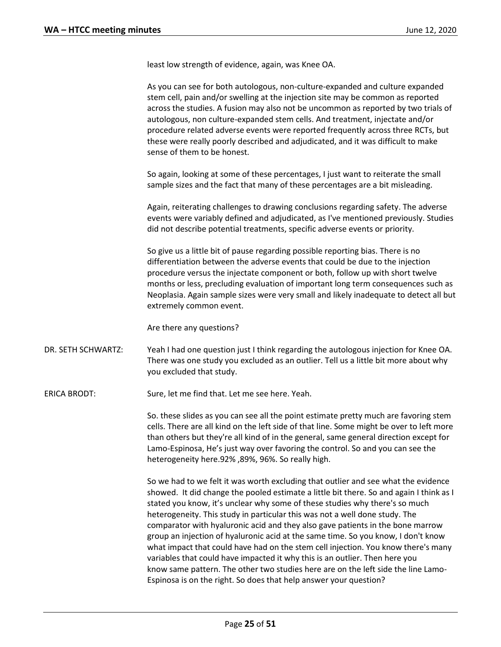least low strength of evidence, again, was Knee OA.

As you can see for both autologous, non-culture-expanded and culture expanded stem cell, pain and/or swelling at the injection site may be common as reported across the studies. A fusion may also not be uncommon as reported by two trials of autologous, non culture-expanded stem cells. And treatment, injectate and/or procedure related adverse events were reported frequently across three RCTs, but these were really poorly described and adjudicated, and it was difficult to make sense of them to be honest.

So again, looking at some of these percentages, I just want to reiterate the small sample sizes and the fact that many of these percentages are a bit misleading.

Again, reiterating challenges to drawing conclusions regarding safety. The adverse events were variably defined and adjudicated, as I've mentioned previously. Studies did not describe potential treatments, specific adverse events or priority.

So give us a little bit of pause regarding possible reporting bias. There is no differentiation between the adverse events that could be due to the injection procedure versus the injectate component or both, follow up with short twelve months or less, precluding evaluation of important long term consequences such as Neoplasia. Again sample sizes were very small and likely inadequate to detect all but extremely common event.

Are there any questions?

DR. SETH SCHWARTZ: Yeah I had one question just I think regarding the autologous injection for Knee OA. There was one study you excluded as an outlier. Tell us a little bit more about why you excluded that study.

ERICA BRODT: Sure, let me find that. Let me see here. Yeah.

So. these slides as you can see all the point estimate pretty much are favoring stem cells. There are all kind on the left side of that line. Some might be over to left more than others but they're all kind of in the general, same general direction except for Lamo-Espinosa, He's just way over favoring the control. So and you can see the heterogeneity here.92% ,89%, 96%. So really high.

So we had to we felt it was worth excluding that outlier and see what the evidence showed. It did change the pooled estimate a little bit there. So and again I think as I stated you know, it's unclear why some of these studies why there's so much heterogeneity. This study in particular this was not a well done study. The comparator with hyaluronic acid and they also gave patients in the bone marrow group an injection of hyaluronic acid at the same time. So you know, I don't know what impact that could have had on the stem cell injection. You know there's many variables that could have impacted it why this is an outlier. Then here you know same pattern. The other two studies here are on the left side the line Lamo-Espinosa is on the right. So does that help answer your question?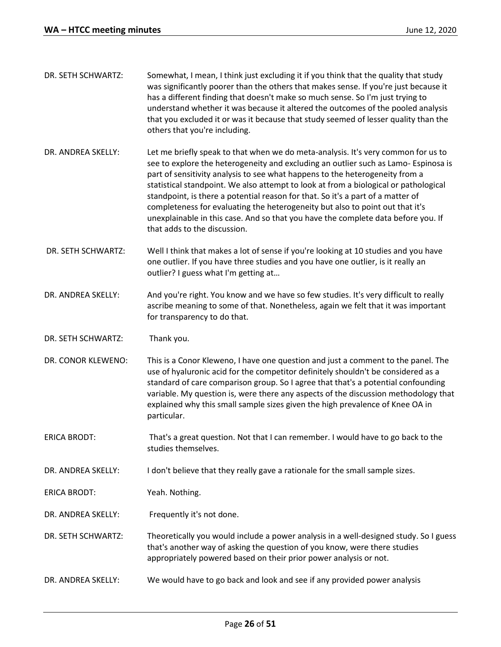| DR. SETH SCHWARTZ: | Somewhat, I mean, I think just excluding it if you think that the quality that study<br>was significantly poorer than the others that makes sense. If you're just because it<br>has a different finding that doesn't make so much sense. So I'm just trying to<br>understand whether it was because it altered the outcomes of the pooled analysis<br>that you excluded it or was it because that study seemed of lesser quality than the<br>others that you're including.                                                                                                                                                               |
|--------------------|------------------------------------------------------------------------------------------------------------------------------------------------------------------------------------------------------------------------------------------------------------------------------------------------------------------------------------------------------------------------------------------------------------------------------------------------------------------------------------------------------------------------------------------------------------------------------------------------------------------------------------------|
| DR. ANDREA SKELLY: | Let me briefly speak to that when we do meta-analysis. It's very common for us to<br>see to explore the heterogeneity and excluding an outlier such as Lamo-Espinosa is<br>part of sensitivity analysis to see what happens to the heterogeneity from a<br>statistical standpoint. We also attempt to look at from a biological or pathological<br>standpoint, is there a potential reason for that. So it's a part of a matter of<br>completeness for evaluating the heterogeneity but also to point out that it's<br>unexplainable in this case. And so that you have the complete data before you. If<br>that adds to the discussion. |

- DR. SETH SCHWARTZ: Well I think that makes a lot of sense if you're looking at 10 studies and you have one outlier. If you have three studies and you have one outlier, is it really an outlier? I guess what I'm getting at…
- DR. ANDREA SKELLY: And you're right. You know and we have so few studies. It's very difficult to really ascribe meaning to some of that. Nonetheless, again we felt that it was important for transparency to do that.
- DR. SETH SCHWARTZ: Thank you.
- DR. CONOR KLEWENO: This is a Conor Kleweno, I have one question and just a comment to the panel. The use of hyaluronic acid for the competitor definitely shouldn't be considered as a standard of care comparison group. So I agree that that's a potential confounding variable. My question is, were there any aspects of the discussion methodology that explained why this small sample sizes given the high prevalence of Knee OA in particular.
- ERICA BRODT: That's a great question. Not that I can remember. I would have to go back to the studies themselves.

DR. ANDREA SKELLY: I don't believe that they really gave a rationale for the small sample sizes.

ERICA BRODT: Yeah. Nothing.

DR. ANDREA SKELLY: Frequently it's not done.

- DR. SETH SCHWARTZ: Theoretically you would include a power analysis in a well-designed study. So I guess that's another way of asking the question of you know, were there studies appropriately powered based on their prior power analysis or not.
- DR. ANDREA SKELLY: We would have to go back and look and see if any provided power analysis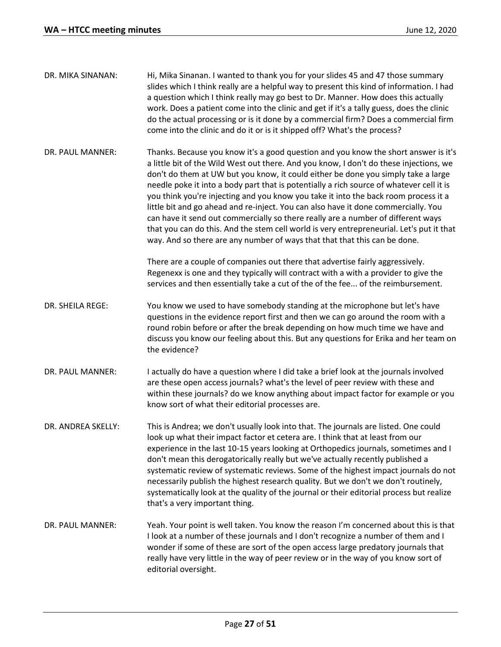| DR. MIKA SINANAN:  | Hi, Mika Sinanan. I wanted to thank you for your slides 45 and 47 those summary<br>slides which I think really are a helpful way to present this kind of information. I had<br>a question which I think really may go best to Dr. Manner. How does this actually<br>work. Does a patient come into the clinic and get if it's a tally guess, does the clinic<br>do the actual processing or is it done by a commercial firm? Does a commercial firm<br>come into the clinic and do it or is it shipped off? What's the process?                                                                                                                                                                                                                                                                          |
|--------------------|----------------------------------------------------------------------------------------------------------------------------------------------------------------------------------------------------------------------------------------------------------------------------------------------------------------------------------------------------------------------------------------------------------------------------------------------------------------------------------------------------------------------------------------------------------------------------------------------------------------------------------------------------------------------------------------------------------------------------------------------------------------------------------------------------------|
| DR. PAUL MANNER:   | Thanks. Because you know it's a good question and you know the short answer is it's<br>a little bit of the Wild West out there. And you know, I don't do these injections, we<br>don't do them at UW but you know, it could either be done you simply take a large<br>needle poke it into a body part that is potentially a rich source of whatever cell it is<br>you think you're injecting and you know you take it into the back room process it a<br>little bit and go ahead and re-inject. You can also have it done commercially. You<br>can have it send out commercially so there really are a number of different ways<br>that you can do this. And the stem cell world is very entrepreneurial. Let's put it that<br>way. And so there are any number of ways that that that this can be done. |
|                    | There are a couple of companies out there that advertise fairly aggressively.<br>Regenexx is one and they typically will contract with a with a provider to give the<br>services and then essentially take a cut of the of the fee of the reimbursement.                                                                                                                                                                                                                                                                                                                                                                                                                                                                                                                                                 |
| DR. SHEILA REGE:   | You know we used to have somebody standing at the microphone but let's have<br>questions in the evidence report first and then we can go around the room with a<br>round robin before or after the break depending on how much time we have and<br>discuss you know our feeling about this. But any questions for Erika and her team on<br>the evidence?                                                                                                                                                                                                                                                                                                                                                                                                                                                 |
| DR. PAUL MANNER:   | I actually do have a question where I did take a brief look at the journals involved<br>are these open access journals? what's the level of peer review with these and<br>within these journals? do we know anything about impact factor for example or you<br>know sort of what their editorial processes are.                                                                                                                                                                                                                                                                                                                                                                                                                                                                                          |
| DR. ANDREA SKELLY: | This is Andrea; we don't usually look into that. The journals are listed. One could<br>look up what their impact factor et cetera are. I think that at least from our<br>experience in the last 10-15 years looking at Orthopedics journals, sometimes and I<br>don't mean this derogatorically really but we've actually recently published a<br>systematic review of systematic reviews. Some of the highest impact journals do not<br>necessarily publish the highest research quality. But we don't we don't routinely,<br>systematically look at the quality of the journal or their editorial process but realize<br>that's a very important thing.                                                                                                                                                |
| DR. PAUL MANNER:   | Yeah. Your point is well taken. You know the reason I'm concerned about this is that<br>I look at a number of these journals and I don't recognize a number of them and I<br>wonder if some of these are sort of the open access large predatory journals that<br>really have very little in the way of peer review or in the way of you know sort of<br>editorial oversight.                                                                                                                                                                                                                                                                                                                                                                                                                            |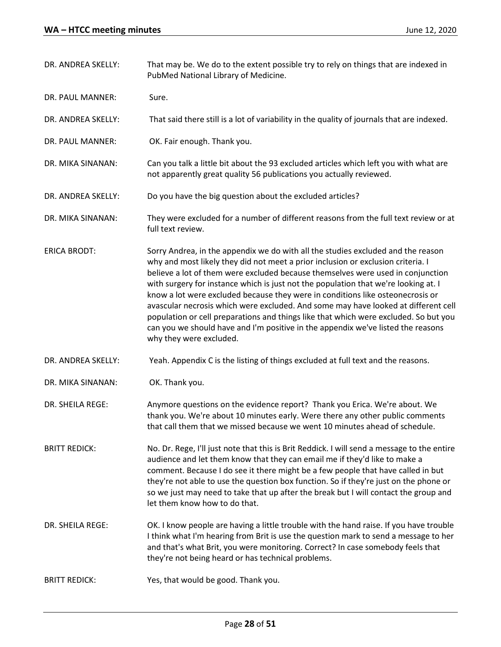| DR. ANDREA SKELLY:   | That may be. We do to the extent possible try to rely on things that are indexed in<br>PubMed National Library of Medicine.                                                                                                                                                                                                                                                                                                                                                                                                                                                                                                                                                                                                   |
|----------------------|-------------------------------------------------------------------------------------------------------------------------------------------------------------------------------------------------------------------------------------------------------------------------------------------------------------------------------------------------------------------------------------------------------------------------------------------------------------------------------------------------------------------------------------------------------------------------------------------------------------------------------------------------------------------------------------------------------------------------------|
| DR. PAUL MANNER:     | Sure.                                                                                                                                                                                                                                                                                                                                                                                                                                                                                                                                                                                                                                                                                                                         |
| DR. ANDREA SKELLY:   | That said there still is a lot of variability in the quality of journals that are indexed.                                                                                                                                                                                                                                                                                                                                                                                                                                                                                                                                                                                                                                    |
| DR. PAUL MANNER:     | OK. Fair enough. Thank you.                                                                                                                                                                                                                                                                                                                                                                                                                                                                                                                                                                                                                                                                                                   |
| DR. MIKA SINANAN:    | Can you talk a little bit about the 93 excluded articles which left you with what are<br>not apparently great quality 56 publications you actually reviewed.                                                                                                                                                                                                                                                                                                                                                                                                                                                                                                                                                                  |
| DR. ANDREA SKELLY:   | Do you have the big question about the excluded articles?                                                                                                                                                                                                                                                                                                                                                                                                                                                                                                                                                                                                                                                                     |
| DR. MIKA SINANAN:    | They were excluded for a number of different reasons from the full text review or at<br>full text review.                                                                                                                                                                                                                                                                                                                                                                                                                                                                                                                                                                                                                     |
| <b>ERICA BRODT:</b>  | Sorry Andrea, in the appendix we do with all the studies excluded and the reason<br>why and most likely they did not meet a prior inclusion or exclusion criteria. I<br>believe a lot of them were excluded because themselves were used in conjunction<br>with surgery for instance which is just not the population that we're looking at. I<br>know a lot were excluded because they were in conditions like osteonecrosis or<br>avascular necrosis which were excluded. And some may have looked at different cell<br>population or cell preparations and things like that which were excluded. So but you<br>can you we should have and I'm positive in the appendix we've listed the reasons<br>why they were excluded. |
| DR. ANDREA SKELLY:   | Yeah. Appendix C is the listing of things excluded at full text and the reasons.                                                                                                                                                                                                                                                                                                                                                                                                                                                                                                                                                                                                                                              |
| DR. MIKA SINANAN:    | OK. Thank you.                                                                                                                                                                                                                                                                                                                                                                                                                                                                                                                                                                                                                                                                                                                |
| DR. SHEILA REGE:     | Anymore questions on the evidence report? Thank you Erica. We're about. We<br>thank you. We're about 10 minutes early. Were there any other public comments<br>that call them that we missed because we went 10 minutes ahead of schedule.                                                                                                                                                                                                                                                                                                                                                                                                                                                                                    |
| <b>BRITT REDICK:</b> | No. Dr. Rege, I'll just note that this is Brit Reddick. I will send a message to the entire<br>audience and let them know that they can email me if they'd like to make a<br>comment. Because I do see it there might be a few people that have called in but<br>they're not able to use the question box function. So if they're just on the phone or<br>so we just may need to take that up after the break but I will contact the group and<br>let them know how to do that.                                                                                                                                                                                                                                               |
| DR. SHEILA REGE:     | OK. I know people are having a little trouble with the hand raise. If you have trouble<br>I think what I'm hearing from Brit is use the question mark to send a message to her<br>and that's what Brit, you were monitoring. Correct? In case somebody feels that<br>they're not being heard or has technical problems.                                                                                                                                                                                                                                                                                                                                                                                                       |
| <b>BRITT REDICK:</b> | Yes, that would be good. Thank you.                                                                                                                                                                                                                                                                                                                                                                                                                                                                                                                                                                                                                                                                                           |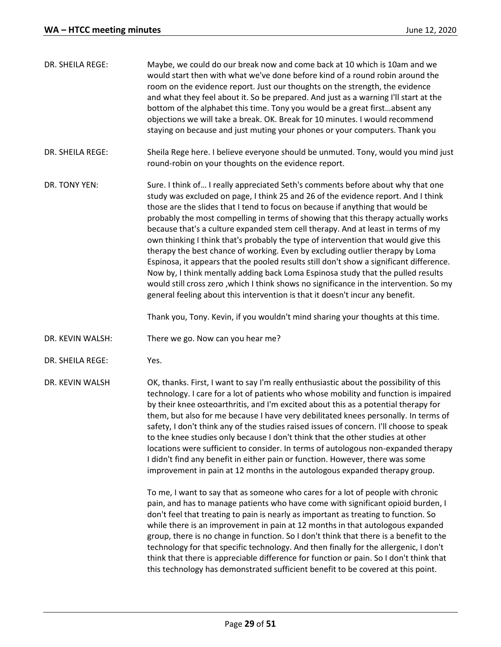| DR. SHEILA REGE: | Maybe, we could do our break now and come back at 10 which is 10am and we<br>would start then with what we've done before kind of a round robin around the<br>room on the evidence report. Just our thoughts on the strength, the evidence<br>and what they feel about it. So be prepared. And just as a warning I'll start at the<br>bottom of the alphabet this time. Tony you would be a great firstabsent any<br>objections we will take a break. OK. Break for 10 minutes. I would recommend<br>staying on because and just muting your phones or your computers. Thank you                                                                                                                                                                                                                                                                                                                                                                                 |
|------------------|------------------------------------------------------------------------------------------------------------------------------------------------------------------------------------------------------------------------------------------------------------------------------------------------------------------------------------------------------------------------------------------------------------------------------------------------------------------------------------------------------------------------------------------------------------------------------------------------------------------------------------------------------------------------------------------------------------------------------------------------------------------------------------------------------------------------------------------------------------------------------------------------------------------------------------------------------------------|
| DR. SHEILA REGE: | Sheila Rege here. I believe everyone should be unmuted. Tony, would you mind just<br>round-robin on your thoughts on the evidence report.                                                                                                                                                                                                                                                                                                                                                                                                                                                                                                                                                                                                                                                                                                                                                                                                                        |
| DR. TONY YEN:    | Sure. I think of I really appreciated Seth's comments before about why that one<br>study was excluded on page, I think 25 and 26 of the evidence report. And I think<br>those are the slides that I tend to focus on because if anything that would be<br>probably the most compelling in terms of showing that this therapy actually works<br>because that's a culture expanded stem cell therapy. And at least in terms of my<br>own thinking I think that's probably the type of intervention that would give this<br>therapy the best chance of working. Even by excluding outlier therapy by Loma<br>Espinosa, it appears that the pooled results still don't show a significant difference.<br>Now by, I think mentally adding back Loma Espinosa study that the pulled results<br>would still cross zero, which I think shows no significance in the intervention. So my<br>general feeling about this intervention is that it doesn't incur any benefit. |
|                  | Thank you, Tony. Kevin, if you wouldn't mind sharing your thoughts at this time.                                                                                                                                                                                                                                                                                                                                                                                                                                                                                                                                                                                                                                                                                                                                                                                                                                                                                 |
| DR. KEVIN WALSH: | There we go. Now can you hear me?                                                                                                                                                                                                                                                                                                                                                                                                                                                                                                                                                                                                                                                                                                                                                                                                                                                                                                                                |
| DR. SHEILA REGE: | Yes.                                                                                                                                                                                                                                                                                                                                                                                                                                                                                                                                                                                                                                                                                                                                                                                                                                                                                                                                                             |
| DR. KEVIN WALSH  | OK, thanks. First, I want to say I'm really enthusiastic about the possibility of this<br>technology. I care for a lot of patients who whose mobility and function is impaired<br>by their knee osteoarthritis, and I'm excited about this as a potential therapy for<br>them, but also for me because I have very debilitated knees personally. In terms of<br>safety, I don't think any of the studies raised issues of concern. I'll choose to speak<br>to the knee studies only because I don't think that the other studies at other<br>locations were sufficient to consider. In terms of autologous non-expanded therapy<br>I didn't find any benefit in either pain or function. However, there was some<br>improvement in pain at 12 months in the autologous expanded therapy group.                                                                                                                                                                   |
|                  | To me, I want to say that as someone who cares for a lot of people with chronic<br>pain, and has to manage patients who have come with significant opioid burden, I<br>don't feel that treating to pain is nearly as important as treating to function. So<br>while there is an improvement in pain at 12 months in that autologous expanded<br>group, there is no change in function. So I don't think that there is a benefit to the<br>technology for that specific technology. And then finally for the allergenic, I don't<br>think that there is appreciable difference for function or pain. So I don't think that                                                                                                                                                                                                                                                                                                                                        |

this technology has demonstrated sufficient benefit to be covered at this point.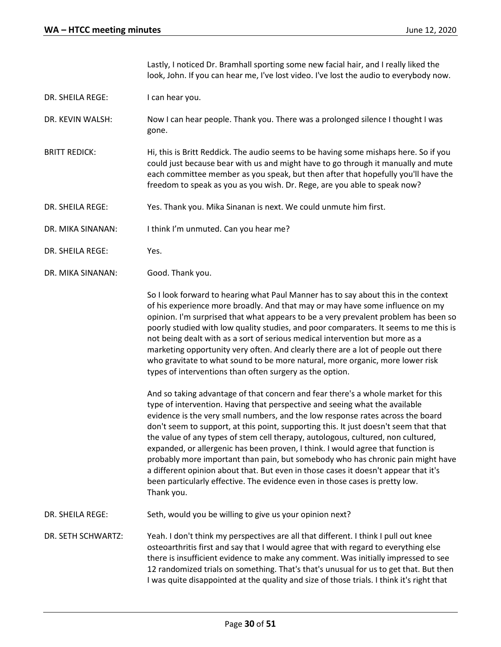Lastly, I noticed Dr. Bramhall sporting some new facial hair, and I really liked the look, John. If you can hear me, I've lost video. I've lost the audio to everybody now.

DR. SHEILA REGE: I can hear you.

DR. KEVIN WALSH: Now I can hear people. Thank you. There was a prolonged silence I thought I was gone.

- BRITT REDICK: Hi, this is Britt Reddick. The audio seems to be having some mishaps here. So if you could just because bear with us and might have to go through it manually and mute each committee member as you speak, but then after that hopefully you'll have the freedom to speak as you as you wish. Dr. Rege, are you able to speak now?
- DR. SHEILA REGE: Yes. Thank you. Mika Sinanan is next. We could unmute him first.

DR. MIKA SINANAN: I think I'm unmuted. Can you hear me?

- DR. SHEILA REGE: Yes.
- DR. MIKA SINANAN: Good. Thank you.

So I look forward to hearing what Paul Manner has to say about this in the context of his experience more broadly. And that may or may have some influence on my opinion. I'm surprised that what appears to be a very prevalent problem has been so poorly studied with low quality studies, and poor comparaters. It seems to me this is not being dealt with as a sort of serious medical intervention but more as a marketing opportunity very often. And clearly there are a lot of people out there who gravitate to what sound to be more natural, more organic, more lower risk types of interventions than often surgery as the option.

And so taking advantage of that concern and fear there's a whole market for this type of intervention. Having that perspective and seeing what the available evidence is the very small numbers, and the low response rates across the board don't seem to support, at this point, supporting this. It just doesn't seem that that the value of any types of stem cell therapy, autologous, cultured, non cultured, expanded, or allergenic has been proven, I think. I would agree that function is probably more important than pain, but somebody who has chronic pain might have a different opinion about that. But even in those cases it doesn't appear that it's been particularly effective. The evidence even in those cases is pretty low. Thank you.

DR. SHEILA REGE: Seth, would you be willing to give us your opinion next?

DR. SETH SCHWARTZ: Yeah. I don't think my perspectives are all that different. I think I pull out knee osteoarthritis first and say that I would agree that with regard to everything else there is insufficient evidence to make any comment. Was initially impressed to see 12 randomized trials on something. That's that's unusual for us to get that. But then I was quite disappointed at the quality and size of those trials. I think it's right that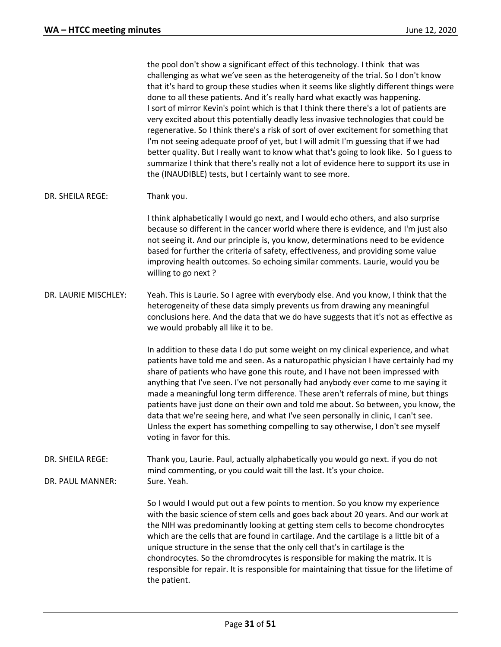the pool don't show a significant effect of this technology. I think that was challenging as what we've seen as the heterogeneity of the trial. So I don't know that it's hard to group these studies when it seems like slightly different things were done to all these patients. And it's really hard what exactly was happening. I sort of mirror Kevin's point which is that I think there there's a lot of patients are very excited about this potentially deadly less invasive technologies that could be regenerative. So I think there's a risk of sort of over excitement for something that I'm not seeing adequate proof of yet, but I will admit I'm guessing that if we had better quality. But I really want to know what that's going to look like. So I guess to summarize I think that there's really not a lot of evidence here to support its use in the (INAUDIBLE) tests, but I certainly want to see more.

## DR. SHEILA REGE: Thank you.

I think alphabetically I would go next, and I would echo others, and also surprise because so different in the cancer world where there is evidence, and I'm just also not seeing it. And our principle is, you know, determinations need to be evidence based for further the criteria of safety, effectiveness, and providing some value improving health outcomes. So echoing similar comments. Laurie, would you be willing to go next ?

DR. LAURIE MISCHLEY: Yeah. This is Laurie. So I agree with everybody else. And you know, I think that the heterogeneity of these data simply prevents us from drawing any meaningful conclusions here. And the data that we do have suggests that it's not as effective as we would probably all like it to be.

> In addition to these data I do put some weight on my clinical experience, and what patients have told me and seen. As a naturopathic physician I have certainly had my share of patients who have gone this route, and I have not been impressed with anything that I've seen. I've not personally had anybody ever come to me saying it made a meaningful long term difference. These aren't referrals of mine, but things patients have just done on their own and told me about. So between, you know, the data that we're seeing here, and what I've seen personally in clinic, I can't see. Unless the expert has something compelling to say otherwise, I don't see myself voting in favor for this.

DR. SHEILA REGE: Thank you, Laurie. Paul, actually alphabetically you would go next. if you do not mind commenting, or you could wait till the last. It's your choice. DR. PAUL MANNER: Sure. Yeah.

> So I would I would put out a few points to mention. So you know my experience with the basic science of stem cells and goes back about 20 years. And our work at the NIH was predominantly looking at getting stem cells to become chondrocytes which are the cells that are found in cartilage. And the cartilage is a little bit of a unique structure in the sense that the only cell that's in cartilage is the chondrocytes. So the chromdrocytes is responsible for making the matrix. It is responsible for repair. It is responsible for maintaining that tissue for the lifetime of the patient.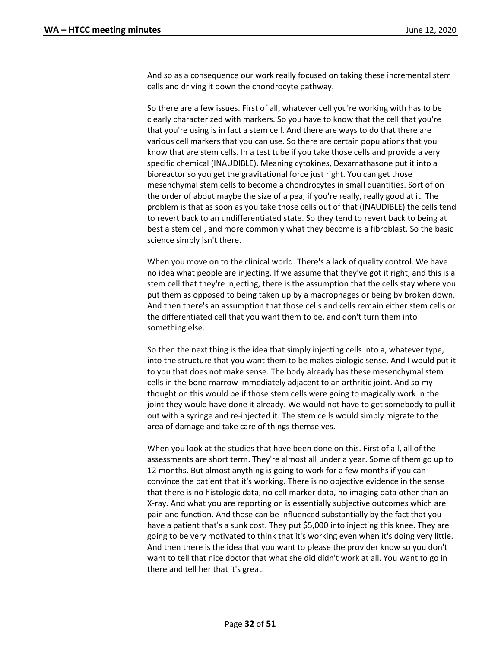And so as a consequence our work really focused on taking these incremental stem cells and driving it down the chondrocyte pathway.

So there are a few issues. First of all, whatever cell you're working with has to be clearly characterized with markers. So you have to know that the cell that you're that you're using is in fact a stem cell. And there are ways to do that there are various cell markers that you can use. So there are certain populations that you know that are stem cells. In a test tube if you take those cells and provide a very specific chemical (INAUDIBLE). Meaning cytokines, Dexamathasone put it into a bioreactor so you get the gravitational force just right. You can get those mesenchymal stem cells to become a chondrocytes in small quantities. Sort of on the order of about maybe the size of a pea, if you're really, really good at it. The problem is that as soon as you take those cells out of that (INAUDIBLE) the cells tend to revert back to an undifferentiated state. So they tend to revert back to being at best a stem cell, and more commonly what they become is a fibroblast. So the basic science simply isn't there.

When you move on to the clinical world. There's a lack of quality control. We have no idea what people are injecting. If we assume that they've got it right, and this is a stem cell that they're injecting, there is the assumption that the cells stay where you put them as opposed to being taken up by a macrophages or being by broken down. And then there's an assumption that those cells and cells remain either stem cells or the differentiated cell that you want them to be, and don't turn them into something else.

So then the next thing is the idea that simply injecting cells into a, whatever type, into the structure that you want them to be makes biologic sense. And I would put it to you that does not make sense. The body already has these mesenchymal stem cells in the bone marrow immediately adjacent to an arthritic joint. And so my thought on this would be if those stem cells were going to magically work in the joint they would have done it already. We would not have to get somebody to pull it out with a syringe and re-injected it. The stem cells would simply migrate to the area of damage and take care of things themselves.

When you look at the studies that have been done on this. First of all, all of the assessments are short term. They're almost all under a year. Some of them go up to 12 months. But almost anything is going to work for a few months if you can convince the patient that it's working. There is no objective evidence in the sense that there is no histologic data, no cell marker data, no imaging data other than an X-ray. And what you are reporting on is essentially subjective outcomes which are pain and function. And those can be influenced substantially by the fact that you have a patient that's a sunk cost. They put \$5,000 into injecting this knee. They are going to be very motivated to think that it's working even when it's doing very little. And then there is the idea that you want to please the provider know so you don't want to tell that nice doctor that what she did didn't work at all. You want to go in there and tell her that it's great.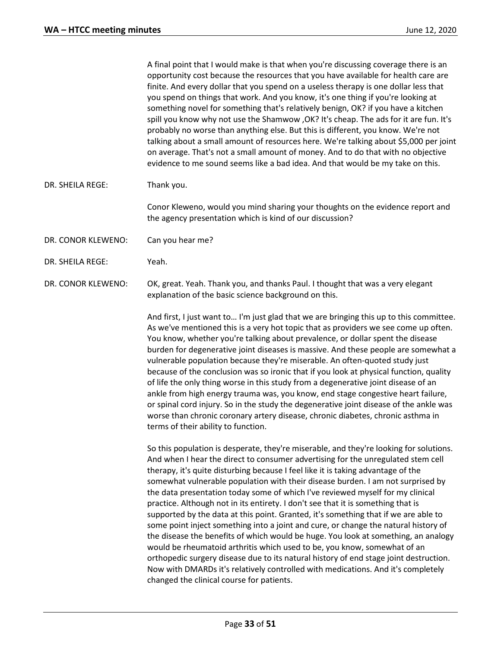A final point that I would make is that when you're discussing coverage there is an opportunity cost because the resources that you have available for health care are finite. And every dollar that you spend on a useless therapy is one dollar less that you spend on things that work. And you know, it's one thing if you're looking at something novel for something that's relatively benign, OK? if you have a kitchen spill you know why not use the Shamwow ,OK? It's cheap. The ads for it are fun. It's probably no worse than anything else. But this is different, you know. We're not talking about a small amount of resources here. We're talking about \$5,000 per joint on average. That's not a small amount of money. And to do that with no objective evidence to me sound seems like a bad idea. And that would be my take on this.

## DR. SHEILA REGE: Thank you.

Conor Kleweno, would you mind sharing your thoughts on the evidence report and the agency presentation which is kind of our discussion?

- DR. CONOR KLEWENO: Can you hear me?
- DR. SHEILA REGE: Yeah.
- DR. CONOR KLEWENO: OK, great. Yeah. Thank you, and thanks Paul. I thought that was a very elegant explanation of the basic science background on this.

And first, I just want to… I'm just glad that we are bringing this up to this committee. As we've mentioned this is a very hot topic that as providers we see come up often. You know, whether you're talking about prevalence, or dollar spent the disease burden for degenerative joint diseases is massive. And these people are somewhat a vulnerable population because they're miserable. An often-quoted study just because of the conclusion was so ironic that if you look at physical function, quality of life the only thing worse in this study from a degenerative joint disease of an ankle from high energy trauma was, you know, end stage congestive heart failure, or spinal cord injury. So in the study the degenerative joint disease of the ankle was worse than chronic coronary artery disease, chronic diabetes, chronic asthma in terms of their ability to function.

So this population is desperate, they're miserable, and they're looking for solutions. And when I hear the direct to consumer advertising for the unregulated stem cell therapy, it's quite disturbing because I feel like it is taking advantage of the somewhat vulnerable population with their disease burden. I am not surprised by the data presentation today some of which I've reviewed myself for my clinical practice. Although not in its entirety. I don't see that it is something that is supported by the data at this point. Granted, it's something that if we are able to some point inject something into a joint and cure, or change the natural history of the disease the benefits of which would be huge. You look at something, an analogy would be rheumatoid arthritis which used to be, you know, somewhat of an orthopedic surgery disease due to its natural history of end stage joint destruction. Now with DMARDs it's relatively controlled with medications. And it's completely changed the clinical course for patients.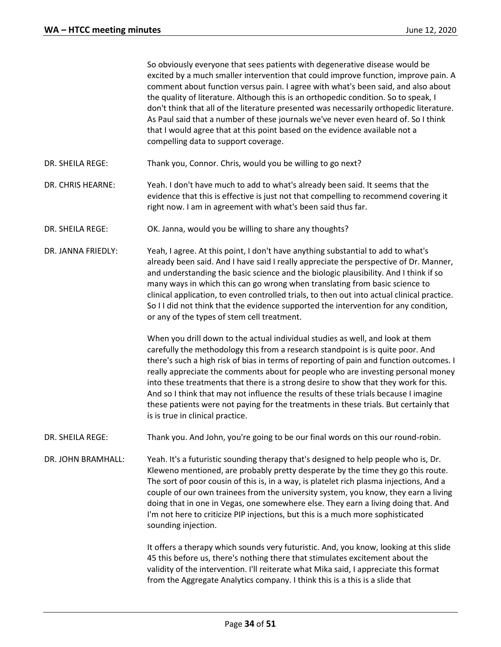So obviously everyone that sees patients with degenerative disease would be excited by a much smaller intervention that could improve function, improve pain. A comment about function versus pain. I agree with what's been said, and also about the quality of literature. Although this is an orthopedic condition. So to speak, I don't think that all of the literature presented was necessarily orthopedic literature. As Paul said that a number of these journals we've never even heard of. So I think that I would agree that at this point based on the evidence available not a compelling data to support coverage. DR. SHEILA REGE: Thank you, Connor. Chris, would you be willing to go next? DR. CHRIS HEARNE: Yeah. I don't have much to add to what's already been said. It seems that the evidence that this is effective is just not that compelling to recommend covering it right now. I am in agreement with what's been said thus far. DR. SHEILA REGE: OK. Janna, would you be willing to share any thoughts? DR. JANNA FRIEDLY: Yeah, I agree. At this point, I don't have anything substantial to add to what's already been said. And I have said I really appreciate the perspective of Dr. Manner, and understanding the basic science and the biologic plausibility. And I think if so many ways in which this can go wrong when translating from basic science to clinical application, to even controlled trials, to then out into actual clinical practice. So I I did not think that the evidence supported the intervention for any condition, or any of the types of stem cell treatment. When you drill down to the actual individual studies as well, and look at them carefully the methodology this from a research standpoint is is quite poor. And there's such a high risk of bias in terms of reporting of pain and function outcomes. I really appreciate the comments about for people who are investing personal money into these treatments that there is a strong desire to show that they work for this. And so I think that may not influence the results of these trials because I imagine these patients were not paying for the treatments in these trials. But certainly that is is true in clinical practice. DR. SHEILA REGE: Thank you. And John, you're going to be our final words on this our round-robin. DR. JOHN BRAMHALL: Yeah. It's a futuristic sounding therapy that's designed to help people who is, Dr. Kleweno mentioned, are probably pretty desperate by the time they go this route. The sort of poor cousin of this is, in a way, is platelet rich plasma injections, And a couple of our own trainees from the university system, you know, they earn a living doing that in one in Vegas, one somewhere else. They earn a living doing that. And I'm not here to criticize PIP injections, but this is a much more sophisticated sounding injection. It offers a therapy which sounds very futuristic. And, you know, looking at this slide 45 this before us, there's nothing there that stimulates excitement about the validity of the intervention. I'll reiterate what Mika said, I appreciate this format from the Aggregate Analytics company. I think this is a this is a slide that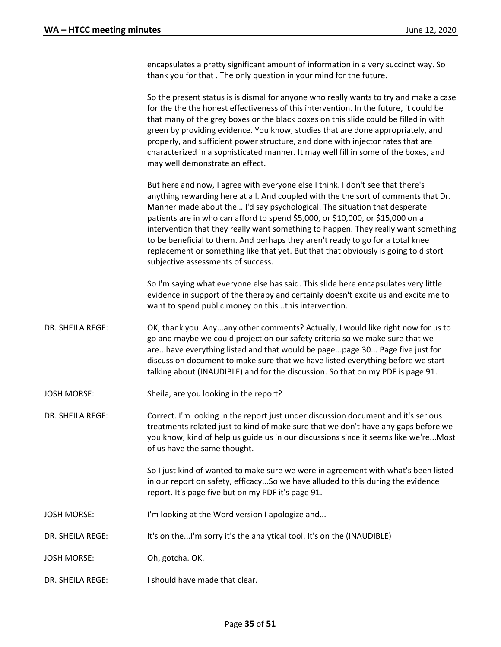encapsulates a pretty significant amount of information in a very succinct way. So thank you for that . The only question in your mind for the future.

So the present status is is dismal for anyone who really wants to try and make a case for the the the honest effectiveness of this intervention. In the future, it could be that many of the grey boxes or the black boxes on this slide could be filled in with green by providing evidence. You know, studies that are done appropriately, and properly, and sufficient power structure, and done with injector rates that are characterized in a sophisticated manner. It may well fill in some of the boxes, and may well demonstrate an effect.

But here and now, I agree with everyone else I think. I don't see that there's anything rewarding here at all. And coupled with the the sort of comments that Dr. Manner made about the… I'd say psychological. The situation that desperate patients are in who can afford to spend \$5,000, or \$10,000, or \$15,000 on a intervention that they really want something to happen. They really want something to be beneficial to them. And perhaps they aren't ready to go for a total knee replacement or something like that yet. But that that obviously is going to distort subjective assessments of success.

So I'm saying what everyone else has said. This slide here encapsulates very little evidence in support of the therapy and certainly doesn't excite us and excite me to want to spend public money on this...this intervention.

- DR. SHEILA REGE: OK, thank you. Any...any other comments? Actually, I would like right now for us to go and maybe we could project on our safety criteria so we make sure that we are...have everything listed and that would be page...page 30... Page five just for discussion document to make sure that we have listed everything before we start talking about (INAUDIBLE) and for the discussion. So that on my PDF is page 91.
- JOSH MORSE: Sheila, are you looking in the report?

DR. SHEILA REGE: Correct. I'm looking in the report just under discussion document and it's serious treatments related just to kind of make sure that we don't have any gaps before we you know, kind of help us guide us in our discussions since it seems like we're...Most of us have the same thought.

> So I just kind of wanted to make sure we were in agreement with what's been listed in our report on safety, efficacy...So we have alluded to this during the evidence report. It's page five but on my PDF it's page 91.

- JOSH MORSE: I'm looking at the Word version I apologize and...
- DR. SHEILA REGE: It's on the...I'm sorry it's the analytical tool. It's on the (INAUDIBLE)
- JOSH MORSE: Oh, gotcha. OK.
- DR. SHEILA REGE: I should have made that clear.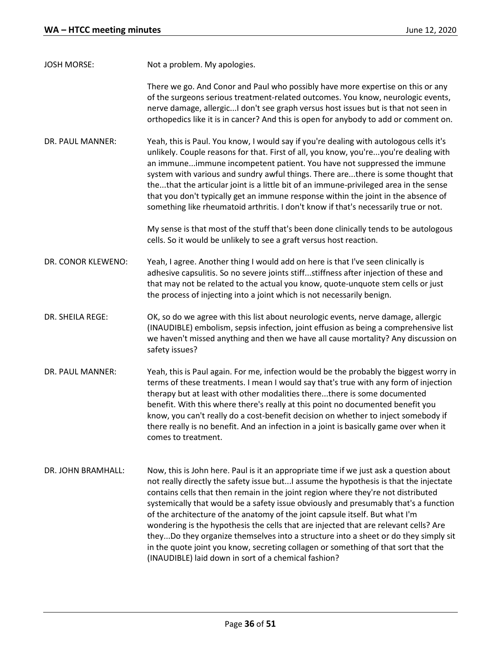| <b>JOSH MORSE:</b> | Not a problem. My apologies. |
|--------------------|------------------------------|
|--------------------|------------------------------|

There we go. And Conor and Paul who possibly have more expertise on this or any of the surgeons serious treatment-related outcomes. You know, neurologic events, nerve damage, allergic...I don't see graph versus host issues but is that not seen in orthopedics like it is in cancer? And this is open for anybody to add or comment on.

DR. PAUL MANNER: Yeah, this is Paul. You know, I would say if you're dealing with autologous cells it's unlikely. Couple reasons for that. First of all, you know, you're...you're dealing with an immune...immune incompetent patient. You have not suppressed the immune system with various and sundry awful things. There are...there is some thought that the...that the articular joint is a little bit of an immune-privileged area in the sense that you don't typically get an immune response within the joint in the absence of something like rheumatoid arthritis. I don't know if that's necessarily true or not.

> My sense is that most of the stuff that's been done clinically tends to be autologous cells. So it would be unlikely to see a graft versus host reaction.

- DR. CONOR KLEWENO: Yeah, I agree. Another thing I would add on here is that I've seen clinically is adhesive capsulitis. So no severe joints stiff...stiffness after injection of these and that may not be related to the actual you know, quote-unquote stem cells or just the process of injecting into a joint which is not necessarily benign.
- DR. SHEILA REGE: OK, so do we agree with this list about neurologic events, nerve damage, allergic (INAUDIBLE) embolism, sepsis infection, joint effusion as being a comprehensive list we haven't missed anything and then we have all cause mortality? Any discussion on safety issues?
- DR. PAUL MANNER: Yeah, this is Paul again. For me, infection would be the probably the biggest worry in terms of these treatments. I mean I would say that's true with any form of injection therapy but at least with other modalities there...there is some documented benefit. With this where there's really at this point no documented benefit you know, you can't really do a cost-benefit decision on whether to inject somebody if there really is no benefit. And an infection in a joint is basically game over when it comes to treatment.
- DR. JOHN BRAMHALL: Now, this is John here. Paul is it an appropriate time if we just ask a question about not really directly the safety issue but...I assume the hypothesis is that the injectate contains cells that then remain in the joint region where they're not distributed systemically that would be a safety issue obviously and presumably that's a function of the architecture of the anatomy of the joint capsule itself. But what I'm wondering is the hypothesis the cells that are injected that are relevant cells? Are they...Do they organize themselves into a structure into a sheet or do they simply sit in the quote joint you know, secreting collagen or something of that sort that the (INAUDIBLE) laid down in sort of a chemical fashion?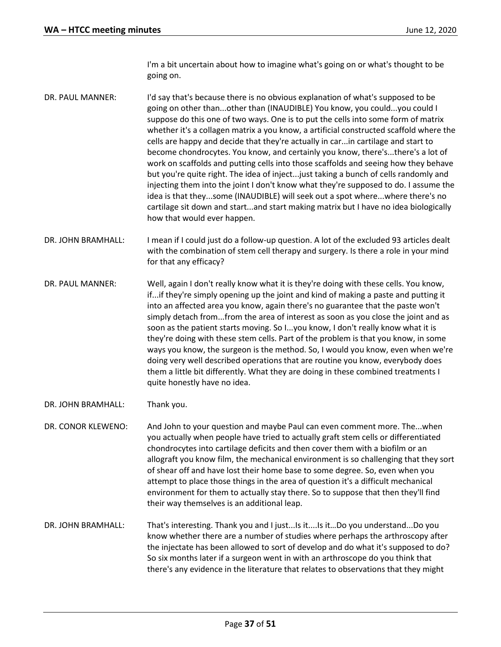I'm a bit uncertain about how to imagine what's going on or what's thought to be going on.

- DR. PAUL MANNER: I'd say that's because there is no obvious explanation of what's supposed to be going on other than...other than (INAUDIBLE) You know, you could...you could I suppose do this one of two ways. One is to put the cells into some form of matrix whether it's a collagen matrix a you know, a artificial constructed scaffold where the cells are happy and decide that they're actually in car...in cartilage and start to become chondrocytes. You know, and certainly you know, there's...there's a lot of work on scaffolds and putting cells into those scaffolds and seeing how they behave but you're quite right. The idea of inject...just taking a bunch of cells randomly and injecting them into the joint I don't know what they're supposed to do. I assume the idea is that they...some (INAUDIBLE) will seek out a spot where...where there's no cartilage sit down and start...and start making matrix but I have no idea biologically how that would ever happen.
- DR. JOHN BRAMHALL: I mean if I could just do a follow-up question. A lot of the excluded 93 articles dealt with the combination of stem cell therapy and surgery. Is there a role in your mind for that any efficacy?
- DR. PAUL MANNER: Well, again I don't really know what it is they're doing with these cells. You know, if...if they're simply opening up the joint and kind of making a paste and putting it into an affected area you know, again there's no guarantee that the paste won't simply detach from...from the area of interest as soon as you close the joint and as soon as the patient starts moving. So I...you know, I don't really know what it is they're doing with these stem cells. Part of the problem is that you know, in some ways you know, the surgeon is the method. So, I would you know, even when we're doing very well described operations that are routine you know, everybody does them a little bit differently. What they are doing in these combined treatments I quite honestly have no idea.
- DR. JOHN BRAMHALL: Thank you.
- DR. CONOR KLEWENO: And John to your question and maybe Paul can even comment more. The...when you actually when people have tried to actually graft stem cells or differentiated chondrocytes into cartilage deficits and then cover them with a biofilm or an allograft you know film, the mechanical environment is so challenging that they sort of shear off and have lost their home base to some degree. So, even when you attempt to place those things in the area of question it's a difficult mechanical environment for them to actually stay there. So to suppose that then they'll find their way themselves is an additional leap.
- DR. JOHN BRAMHALL: That's interesting. Thank you and I just...Is it....Is it…Do you understand...Do you know whether there are a number of studies where perhaps the arthroscopy after the injectate has been allowed to sort of develop and do what it's supposed to do? So six months later if a surgeon went in with an arthroscope do you think that there's any evidence in the literature that relates to observations that they might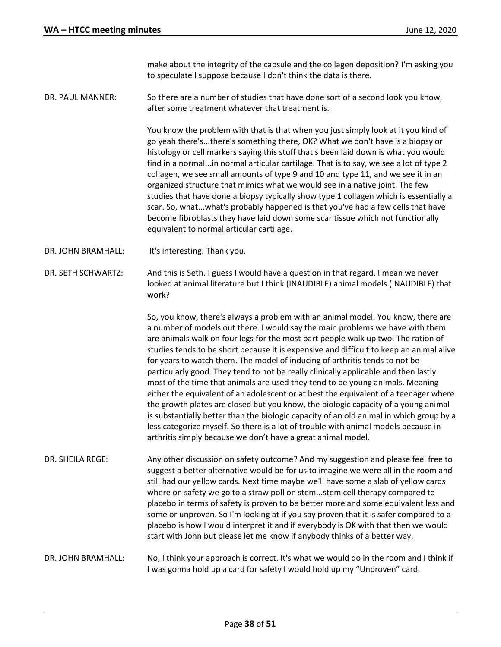make about the integrity of the capsule and the collagen deposition? I'm asking you to speculate I suppose because I don't think the data is there.

DR. PAUL MANNER: So there are a number of studies that have done sort of a second look you know, after some treatment whatever that treatment is.

> You know the problem with that is that when you just simply look at it you kind of go yeah there's...there's something there, OK? What we don't have is a biopsy or histology or cell markers saying this stuff that's been laid down is what you would find in a normal...in normal articular cartilage. That is to say, we see a lot of type 2 collagen, we see small amounts of type 9 and 10 and type 11, and we see it in an organized structure that mimics what we would see in a native joint. The few studies that have done a biopsy typically show type 1 collagen which is essentially a scar. So, what...what's probably happened is that you've had a few cells that have become fibroblasts they have laid down some scar tissue which not functionally equivalent to normal articular cartilage.

- DR. JOHN BRAMHALL: It's interesting. Thank you.
- DR. SETH SCHWARTZ: And this is Seth. I guess I would have a question in that regard. I mean we never looked at animal literature but I think (INAUDIBLE) animal models (INAUDIBLE) that work?

So, you know, there's always a problem with an animal model. You know, there are a number of models out there. I would say the main problems we have with them are animals walk on four legs for the most part people walk up two. The ration of studies tends to be short because it is expensive and difficult to keep an animal alive for years to watch them. The model of inducing of arthritis tends to not be particularly good. They tend to not be really clinically applicable and then lastly most of the time that animals are used they tend to be young animals. Meaning either the equivalent of an adolescent or at best the equivalent of a teenager where the growth plates are closed but you know, the biologic capacity of a young animal is substantially better than the biologic capacity of an old animal in which group by a less categorize myself. So there is a lot of trouble with animal models because in arthritis simply because we don't have a great animal model.

- DR. SHEILA REGE: Any other discussion on safety outcome? And my suggestion and please feel free to suggest a better alternative would be for us to imagine we were all in the room and still had our yellow cards. Next time maybe we'll have some a slab of yellow cards where on safety we go to a straw poll on stem...stem cell therapy compared to placebo in terms of safety is proven to be better more and some equivalent less and some or unproven. So I'm looking at if you say proven that it is safer compared to a placebo is how I would interpret it and if everybody is OK with that then we would start with John but please let me know if anybody thinks of a better way.
- DR. JOHN BRAMHALL: No, I think your approach is correct. It's what we would do in the room and I think if I was gonna hold up a card for safety I would hold up my "Unproven" card.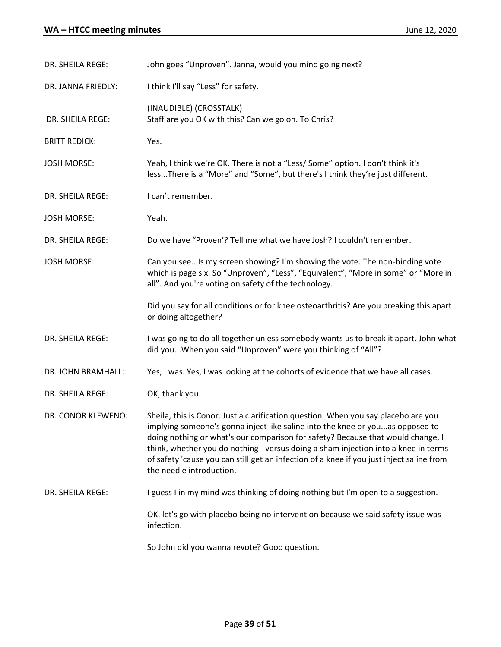| DR. SHEILA REGE:     | John goes "Unproven". Janna, would you mind going next?                                                                                                                                                                                                                                                                                                                                                                                                              |  |
|----------------------|----------------------------------------------------------------------------------------------------------------------------------------------------------------------------------------------------------------------------------------------------------------------------------------------------------------------------------------------------------------------------------------------------------------------------------------------------------------------|--|
| DR. JANNA FRIEDLY:   | I think I'll say "Less" for safety.                                                                                                                                                                                                                                                                                                                                                                                                                                  |  |
| DR. SHEILA REGE:     | (INAUDIBLE) (CROSSTALK)<br>Staff are you OK with this? Can we go on. To Chris?                                                                                                                                                                                                                                                                                                                                                                                       |  |
| <b>BRITT REDICK:</b> | Yes.                                                                                                                                                                                                                                                                                                                                                                                                                                                                 |  |
| <b>JOSH MORSE:</b>   | Yeah, I think we're OK. There is not a "Less/ Some" option. I don't think it's<br>lessThere is a "More" and "Some", but there's I think they're just different.                                                                                                                                                                                                                                                                                                      |  |
| DR. SHEILA REGE:     | I can't remember.                                                                                                                                                                                                                                                                                                                                                                                                                                                    |  |
| <b>JOSH MORSE:</b>   | Yeah.                                                                                                                                                                                                                                                                                                                                                                                                                                                                |  |
| DR. SHEILA REGE:     | Do we have "Proven"? Tell me what we have Josh? I couldn't remember.                                                                                                                                                                                                                                                                                                                                                                                                 |  |
| <b>JOSH MORSE:</b>   | Can you seeIs my screen showing? I'm showing the vote. The non-binding vote<br>which is page six. So "Unproven", "Less", "Equivalent", "More in some" or "More in<br>all". And you're voting on safety of the technology.                                                                                                                                                                                                                                            |  |
|                      | Did you say for all conditions or for knee osteoarthritis? Are you breaking this apart<br>or doing altogether?                                                                                                                                                                                                                                                                                                                                                       |  |
| DR. SHEILA REGE:     | I was going to do all together unless somebody wants us to break it apart. John what<br>did you When you said "Unproven" were you thinking of "All"?                                                                                                                                                                                                                                                                                                                 |  |
| DR. JOHN BRAMHALL:   | Yes, I was. Yes, I was looking at the cohorts of evidence that we have all cases.                                                                                                                                                                                                                                                                                                                                                                                    |  |
| DR. SHEILA REGE:     | OK, thank you.                                                                                                                                                                                                                                                                                                                                                                                                                                                       |  |
| DR. CONOR KLEWENO:   | Sheila, this is Conor. Just a clarification question. When you say placebo are you<br>implying someone's gonna inject like saline into the knee or youas opposed to<br>doing nothing or what's our comparison for safety? Because that would change, I<br>think, whether you do nothing - versus doing a sham injection into a knee in terms<br>of safety 'cause you can still get an infection of a knee if you just inject saline from<br>the needle introduction. |  |
| DR. SHEILA REGE:     | I guess I in my mind was thinking of doing nothing but I'm open to a suggestion.                                                                                                                                                                                                                                                                                                                                                                                     |  |
|                      | OK, let's go with placebo being no intervention because we said safety issue was<br>infection.                                                                                                                                                                                                                                                                                                                                                                       |  |
|                      | So John did you wanna revote? Good question.                                                                                                                                                                                                                                                                                                                                                                                                                         |  |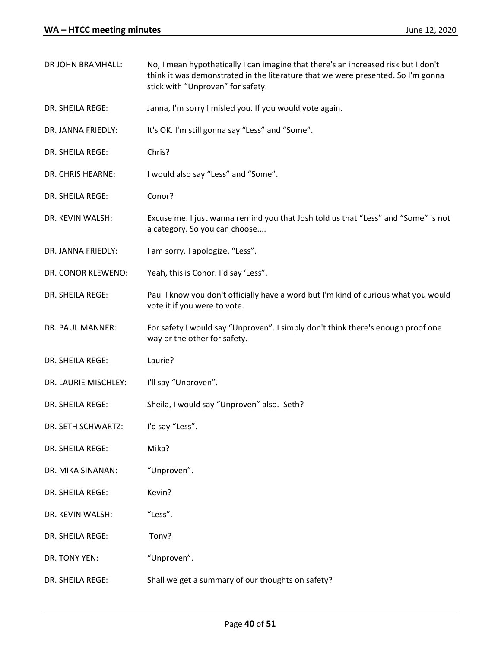| DR JOHN BRAMHALL:    | No, I mean hypothetically I can imagine that there's an increased risk but I don't<br>think it was demonstrated in the literature that we were presented. So I'm gonna<br>stick with "Unproven" for safety. |
|----------------------|-------------------------------------------------------------------------------------------------------------------------------------------------------------------------------------------------------------|
| DR. SHEILA REGE:     | Janna, I'm sorry I misled you. If you would vote again.                                                                                                                                                     |
| DR. JANNA FRIEDLY:   | It's OK. I'm still gonna say "Less" and "Some".                                                                                                                                                             |
| DR. SHEILA REGE:     | Chris?                                                                                                                                                                                                      |
| DR. CHRIS HEARNE:    | I would also say "Less" and "Some".                                                                                                                                                                         |
| DR. SHEILA REGE:     | Conor?                                                                                                                                                                                                      |
| DR. KEVIN WALSH:     | Excuse me. I just wanna remind you that Josh told us that "Less" and "Some" is not<br>a category. So you can choose                                                                                         |
| DR. JANNA FRIEDLY:   | I am sorry. I apologize. "Less".                                                                                                                                                                            |
| DR. CONOR KLEWENO:   | Yeah, this is Conor. I'd say 'Less".                                                                                                                                                                        |
| DR. SHEILA REGE:     | Paul I know you don't officially have a word but I'm kind of curious what you would<br>vote it if you were to vote.                                                                                         |
| DR. PAUL MANNER:     | For safety I would say "Unproven". I simply don't think there's enough proof one<br>way or the other for safety.                                                                                            |
| DR. SHEILA REGE:     | Laurie?                                                                                                                                                                                                     |
| DR. LAURIE MISCHLEY: | I'll say "Unproven".                                                                                                                                                                                        |
| DR. SHEILA REGE:     | Sheila, I would say "Unproven" also. Seth?                                                                                                                                                                  |
| DR. SETH SCHWARTZ:   | I'd say "Less".                                                                                                                                                                                             |
| DR. SHEILA REGE:     | Mika?                                                                                                                                                                                                       |
| DR. MIKA SINANAN:    | "Unproven".                                                                                                                                                                                                 |
| DR. SHEILA REGE:     | Kevin?                                                                                                                                                                                                      |
| DR. KEVIN WALSH:     | "Less".                                                                                                                                                                                                     |
| DR. SHEILA REGE:     | Tony?                                                                                                                                                                                                       |
| DR. TONY YEN:        | "Unproven".                                                                                                                                                                                                 |
| DR. SHEILA REGE:     | Shall we get a summary of our thoughts on safety?                                                                                                                                                           |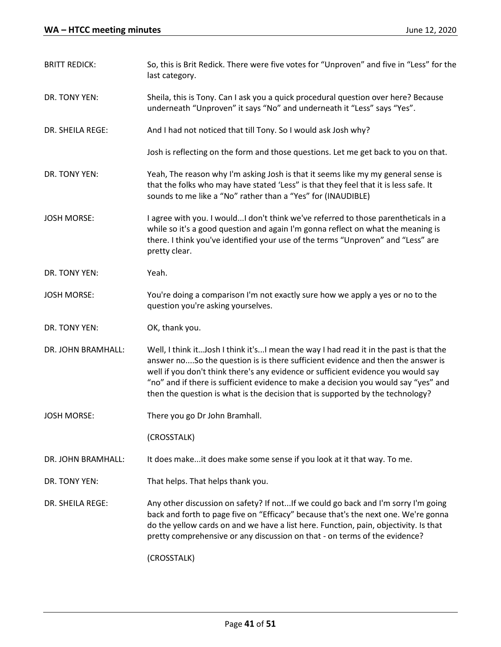| <b>BRITT REDICK:</b> | So, this is Brit Redick. There were five votes for "Unproven" and five in "Less" for the<br>last category.                                                                                                                                                                                                                                                                                                                               |
|----------------------|------------------------------------------------------------------------------------------------------------------------------------------------------------------------------------------------------------------------------------------------------------------------------------------------------------------------------------------------------------------------------------------------------------------------------------------|
| DR. TONY YEN:        | Sheila, this is Tony. Can I ask you a quick procedural question over here? Because<br>underneath "Unproven" it says "No" and underneath it "Less" says "Yes".                                                                                                                                                                                                                                                                            |
| DR. SHEILA REGE:     | And I had not noticed that till Tony. So I would ask Josh why?                                                                                                                                                                                                                                                                                                                                                                           |
|                      | Josh is reflecting on the form and those questions. Let me get back to you on that.                                                                                                                                                                                                                                                                                                                                                      |
| DR. TONY YEN:        | Yeah, The reason why I'm asking Josh is that it seems like my my general sense is<br>that the folks who may have stated 'Less" is that they feel that it is less safe. It<br>sounds to me like a "No" rather than a "Yes" for (INAUDIBLE)                                                                                                                                                                                                |
| <b>JOSH MORSE:</b>   | I agree with you. I wouldI don't think we've referred to those parentheticals in a<br>while so it's a good question and again I'm gonna reflect on what the meaning is<br>there. I think you've identified your use of the terms "Unproven" and "Less" are<br>pretty clear.                                                                                                                                                              |
| DR. TONY YEN:        | Yeah.                                                                                                                                                                                                                                                                                                                                                                                                                                    |
| <b>JOSH MORSE:</b>   | You're doing a comparison I'm not exactly sure how we apply a yes or no to the<br>question you're asking yourselves.                                                                                                                                                                                                                                                                                                                     |
| DR. TONY YEN:        | OK, thank you.                                                                                                                                                                                                                                                                                                                                                                                                                           |
| DR. JOHN BRAMHALL:   | Well, I think it Josh I think it's I mean the way I had read it in the past is that the<br>answer noSo the question is is there sufficient evidence and then the answer is<br>well if you don't think there's any evidence or sufficient evidence you would say<br>"no" and if there is sufficient evidence to make a decision you would say "yes" and<br>then the question is what is the decision that is supported by the technology? |
| <b>JOSH MORSE:</b>   | There you go Dr John Bramhall.                                                                                                                                                                                                                                                                                                                                                                                                           |
|                      | (CROSSTALK)                                                                                                                                                                                                                                                                                                                                                                                                                              |
| DR. JOHN BRAMHALL:   | It does make it does make some sense if you look at it that way. To me.                                                                                                                                                                                                                                                                                                                                                                  |
| DR. TONY YEN:        | That helps. That helps thank you.                                                                                                                                                                                                                                                                                                                                                                                                        |
| DR. SHEILA REGE:     | Any other discussion on safety? If notIf we could go back and I'm sorry I'm going<br>back and forth to page five on "Efficacy" because that's the next one. We're gonna<br>do the yellow cards on and we have a list here. Function, pain, objectivity. Is that<br>pretty comprehensive or any discussion on that - on terms of the evidence?                                                                                            |
|                      | (CROSSTALK)                                                                                                                                                                                                                                                                                                                                                                                                                              |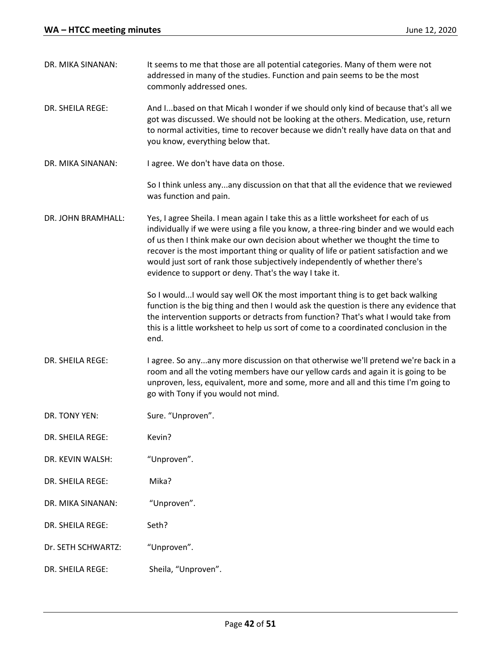| DR. MIKA SINANAN:  | It seems to me that those are all potential categories. Many of them were not<br>addressed in many of the studies. Function and pain seems to be the most<br>commonly addressed ones.                                                                                                                                                                                                                                                                                                         |
|--------------------|-----------------------------------------------------------------------------------------------------------------------------------------------------------------------------------------------------------------------------------------------------------------------------------------------------------------------------------------------------------------------------------------------------------------------------------------------------------------------------------------------|
| DR. SHEILA REGE:   | And Ibased on that Micah I wonder if we should only kind of because that's all we<br>got was discussed. We should not be looking at the others. Medication, use, return<br>to normal activities, time to recover because we didn't really have data on that and<br>you know, everything below that.                                                                                                                                                                                           |
| DR. MIKA SINANAN:  | I agree. We don't have data on those.                                                                                                                                                                                                                                                                                                                                                                                                                                                         |
|                    | So I think unless anyany discussion on that that all the evidence that we reviewed<br>was function and pain.                                                                                                                                                                                                                                                                                                                                                                                  |
| DR. JOHN BRAMHALL: | Yes, I agree Sheila. I mean again I take this as a little worksheet for each of us<br>individually if we were using a file you know, a three-ring binder and we would each<br>of us then I think make our own decision about whether we thought the time to<br>recover is the most important thing or quality of life or patient satisfaction and we<br>would just sort of rank those subjectively independently of whether there's<br>evidence to support or deny. That's the way I take it. |
|                    | So I wouldI would say well OK the most important thing is to get back walking<br>function is the big thing and then I would ask the question is there any evidence that<br>the intervention supports or detracts from function? That's what I would take from<br>this is a little worksheet to help us sort of come to a coordinated conclusion in the<br>end.                                                                                                                                |
| DR. SHEILA REGE:   | I agree. So anyany more discussion on that otherwise we'll pretend we're back in a<br>room and all the voting members have our yellow cards and again it is going to be<br>unproven, less, equivalent, more and some, more and all and this time I'm going to<br>go with Tony if you would not mind.                                                                                                                                                                                          |
| DR. TONY YEN:      | Sure. "Unproven".                                                                                                                                                                                                                                                                                                                                                                                                                                                                             |
| DR. SHEILA REGE:   | Kevin?                                                                                                                                                                                                                                                                                                                                                                                                                                                                                        |
| DR. KEVIN WALSH:   | "Unproven".                                                                                                                                                                                                                                                                                                                                                                                                                                                                                   |
| DR. SHEILA REGE:   | Mika?                                                                                                                                                                                                                                                                                                                                                                                                                                                                                         |
| DR. MIKA SINANAN:  | "Unproven".                                                                                                                                                                                                                                                                                                                                                                                                                                                                                   |
| DR. SHEILA REGE:   | Seth?                                                                                                                                                                                                                                                                                                                                                                                                                                                                                         |
| Dr. SETH SCHWARTZ: | "Unproven".                                                                                                                                                                                                                                                                                                                                                                                                                                                                                   |
| DR. SHEILA REGE:   | Sheila, "Unproven".                                                                                                                                                                                                                                                                                                                                                                                                                                                                           |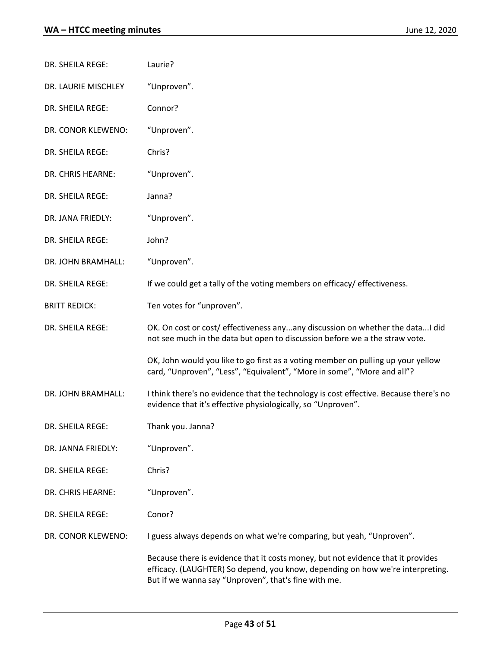| DR. SHEILA REGE:     | Laurie?                                                                                                                                                                                                                    |
|----------------------|----------------------------------------------------------------------------------------------------------------------------------------------------------------------------------------------------------------------------|
| DR. LAURIE MISCHLEY  | "Unproven".                                                                                                                                                                                                                |
| DR. SHEILA REGE:     | Connor?                                                                                                                                                                                                                    |
| DR. CONOR KLEWENO:   | "Unproven".                                                                                                                                                                                                                |
| DR. SHEILA REGE:     | Chris?                                                                                                                                                                                                                     |
| DR. CHRIS HEARNE:    | "Unproven".                                                                                                                                                                                                                |
| DR. SHEILA REGE:     | Janna?                                                                                                                                                                                                                     |
| DR. JANA FRIEDLY:    | "Unproven".                                                                                                                                                                                                                |
| DR. SHEILA REGE:     | John?                                                                                                                                                                                                                      |
| DR. JOHN BRAMHALL:   | "Unproven".                                                                                                                                                                                                                |
| DR. SHEILA REGE:     | If we could get a tally of the voting members on efficacy/ effectiveness.                                                                                                                                                  |
| <b>BRITT REDICK:</b> | Ten votes for "unproven".                                                                                                                                                                                                  |
| DR. SHEILA REGE:     | OK. On cost or cost/ effectiveness anyany discussion on whether the dataI did<br>not see much in the data but open to discussion before we a the straw vote.                                                               |
|                      | OK, John would you like to go first as a voting member on pulling up your yellow<br>card, "Unproven", "Less", "Equivalent", "More in some", "More and all"?                                                                |
| DR. JOHN BRAMHALL:   | I think there's no evidence that the technology is cost effective. Because there's no<br>evidence that it's effective physiologically, so "Unproven".                                                                      |
| DR. SHEILA REGE:     | Thank you. Janna?                                                                                                                                                                                                          |
| DR. JANNA FRIEDLY:   | "Unproven".                                                                                                                                                                                                                |
| DR. SHEILA REGE:     | Chris?                                                                                                                                                                                                                     |
| DR. CHRIS HEARNE:    | "Unproven".                                                                                                                                                                                                                |
| DR. SHEILA REGE:     | Conor?                                                                                                                                                                                                                     |
| DR. CONOR KLEWENO:   | I guess always depends on what we're comparing, but yeah, "Unproven".                                                                                                                                                      |
|                      | Because there is evidence that it costs money, but not evidence that it provides<br>efficacy. (LAUGHTER) So depend, you know, depending on how we're interpreting.<br>But if we wanna say "Unproven", that's fine with me. |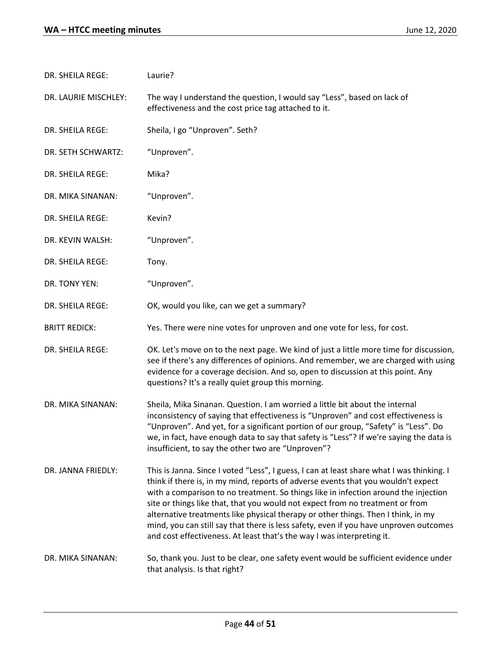| DR. SHEILA REGE:     | Laurie?                                                                                                                                                                                                                                                                                                                                                                                                                                                                                                                                                                                                        |
|----------------------|----------------------------------------------------------------------------------------------------------------------------------------------------------------------------------------------------------------------------------------------------------------------------------------------------------------------------------------------------------------------------------------------------------------------------------------------------------------------------------------------------------------------------------------------------------------------------------------------------------------|
| DR. LAURIE MISCHLEY: | The way I understand the question, I would say "Less", based on lack of<br>effectiveness and the cost price tag attached to it.                                                                                                                                                                                                                                                                                                                                                                                                                                                                                |
| DR. SHEILA REGE:     | Sheila, I go "Unproven". Seth?                                                                                                                                                                                                                                                                                                                                                                                                                                                                                                                                                                                 |
| DR. SETH SCHWARTZ:   | "Unproven".                                                                                                                                                                                                                                                                                                                                                                                                                                                                                                                                                                                                    |
| DR. SHEILA REGE:     | Mika?                                                                                                                                                                                                                                                                                                                                                                                                                                                                                                                                                                                                          |
| DR. MIKA SINANAN:    | "Unproven".                                                                                                                                                                                                                                                                                                                                                                                                                                                                                                                                                                                                    |
| DR. SHEILA REGE:     | Kevin?                                                                                                                                                                                                                                                                                                                                                                                                                                                                                                                                                                                                         |
| DR. KEVIN WALSH:     | "Unproven".                                                                                                                                                                                                                                                                                                                                                                                                                                                                                                                                                                                                    |
| DR. SHEILA REGE:     | Tony.                                                                                                                                                                                                                                                                                                                                                                                                                                                                                                                                                                                                          |
| DR. TONY YEN:        | "Unproven".                                                                                                                                                                                                                                                                                                                                                                                                                                                                                                                                                                                                    |
| DR. SHEILA REGE:     | OK, would you like, can we get a summary?                                                                                                                                                                                                                                                                                                                                                                                                                                                                                                                                                                      |
| <b>BRITT REDICK:</b> | Yes. There were nine votes for unproven and one vote for less, for cost.                                                                                                                                                                                                                                                                                                                                                                                                                                                                                                                                       |
| DR. SHEILA REGE:     | OK. Let's move on to the next page. We kind of just a little more time for discussion,<br>see if there's any differences of opinions. And remember, we are charged with using<br>evidence for a coverage decision. And so, open to discussion at this point. Any<br>questions? It's a really quiet group this morning.                                                                                                                                                                                                                                                                                         |
| DR. MIKA SINANAN:    | Sheila, Mika Sinanan. Question. I am worried a little bit about the internal<br>inconsistency of saying that effectiveness is "Unproven" and cost effectiveness is<br>"Unproven". And yet, for a significant portion of our group, "Safety" is "Less". Do<br>we, in fact, have enough data to say that safety is "Less"? If we're saying the data is<br>insufficient, to say the other two are "Unproven"?                                                                                                                                                                                                     |
| DR. JANNA FRIEDLY:   | This is Janna. Since I voted "Less", I guess, I can at least share what I was thinking. I<br>think if there is, in my mind, reports of adverse events that you wouldn't expect<br>with a comparison to no treatment. So things like in infection around the injection<br>site or things like that, that you would not expect from no treatment or from<br>alternative treatments like physical therapy or other things. Then I think, in my<br>mind, you can still say that there is less safety, even if you have unproven outcomes<br>and cost effectiveness. At least that's the way I was interpreting it. |
| DR. MIKA SINANAN:    | So, thank you. Just to be clear, one safety event would be sufficient evidence under<br>that analysis. Is that right?                                                                                                                                                                                                                                                                                                                                                                                                                                                                                          |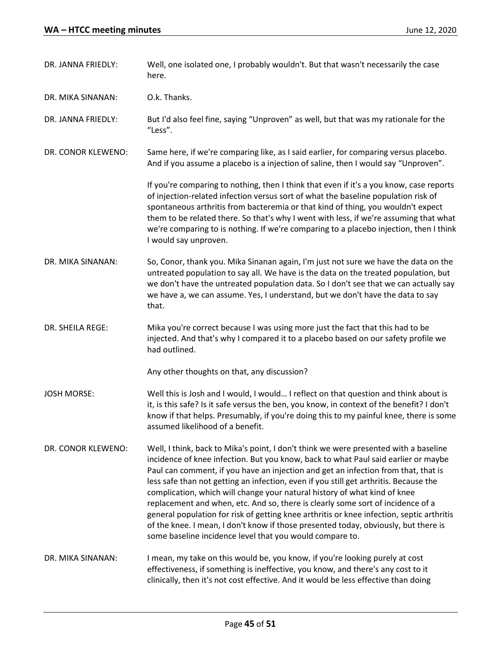| DR. JANNA FRIEDLY: | Well, one isolated one, I probably wouldn't. But that wasn't necessarily the case<br>here.                                                                                                                                                                                                                                                                                                                                                                                                                                                                                                                                                                                                                                                                                |
|--------------------|---------------------------------------------------------------------------------------------------------------------------------------------------------------------------------------------------------------------------------------------------------------------------------------------------------------------------------------------------------------------------------------------------------------------------------------------------------------------------------------------------------------------------------------------------------------------------------------------------------------------------------------------------------------------------------------------------------------------------------------------------------------------------|
| DR. MIKA SINANAN:  | O.k. Thanks.                                                                                                                                                                                                                                                                                                                                                                                                                                                                                                                                                                                                                                                                                                                                                              |
| DR. JANNA FRIEDLY: | But I'd also feel fine, saying "Unproven" as well, but that was my rationale for the<br>"Less".                                                                                                                                                                                                                                                                                                                                                                                                                                                                                                                                                                                                                                                                           |
| DR. CONOR KLEWENO: | Same here, if we're comparing like, as I said earlier, for comparing versus placebo.<br>And if you assume a placebo is a injection of saline, then I would say "Unproven".                                                                                                                                                                                                                                                                                                                                                                                                                                                                                                                                                                                                |
|                    | If you're comparing to nothing, then I think that even if it's a you know, case reports<br>of injection-related infection versus sort of what the baseline population risk of<br>spontaneous arthritis from bacteremia or that kind of thing, you wouldn't expect<br>them to be related there. So that's why I went with less, if we're assuming that what<br>we're comparing to is nothing. If we're comparing to a placebo injection, then I think<br>I would say unproven.                                                                                                                                                                                                                                                                                             |
| DR. MIKA SINANAN:  | So, Conor, thank you. Mika Sinanan again, I'm just not sure we have the data on the<br>untreated population to say all. We have is the data on the treated population, but<br>we don't have the untreated population data. So I don't see that we can actually say<br>we have a, we can assume. Yes, I understand, but we don't have the data to say<br>that.                                                                                                                                                                                                                                                                                                                                                                                                             |
| DR. SHEILA REGE:   | Mika you're correct because I was using more just the fact that this had to be<br>injected. And that's why I compared it to a placebo based on our safety profile we<br>had outlined.                                                                                                                                                                                                                                                                                                                                                                                                                                                                                                                                                                                     |
|                    | Any other thoughts on that, any discussion?                                                                                                                                                                                                                                                                                                                                                                                                                                                                                                                                                                                                                                                                                                                               |
| <b>JOSH MORSE:</b> | Well this is Josh and I would, I would I reflect on that question and think about is<br>it, is this safe? Is it safe versus the ben, you know, in context of the benefit? I don't<br>know if that helps. Presumably, if you're doing this to my painful knee, there is some<br>assumed likelihood of a benefit.                                                                                                                                                                                                                                                                                                                                                                                                                                                           |
| DR. CONOR KLEWENO: | Well, I think, back to Mika's point, I don't think we were presented with a baseline<br>incidence of knee infection. But you know, back to what Paul said earlier or maybe<br>Paul can comment, if you have an injection and get an infection from that, that is<br>less safe than not getting an infection, even if you still get arthritis. Because the<br>complication, which will change your natural history of what kind of knee<br>replacement and when, etc. And so, there is clearly some sort of incidence of a<br>general population for risk of getting knee arthritis or knee infection, septic arthritis<br>of the knee. I mean, I don't know if those presented today, obviously, but there is<br>some baseline incidence level that you would compare to. |
| DR. MIKA SINANAN:  | I mean, my take on this would be, you know, if you're looking purely at cost<br>effectiveness, if something is ineffective, you know, and there's any cost to it<br>clinically, then it's not cost effective. And it would be less effective than doing                                                                                                                                                                                                                                                                                                                                                                                                                                                                                                                   |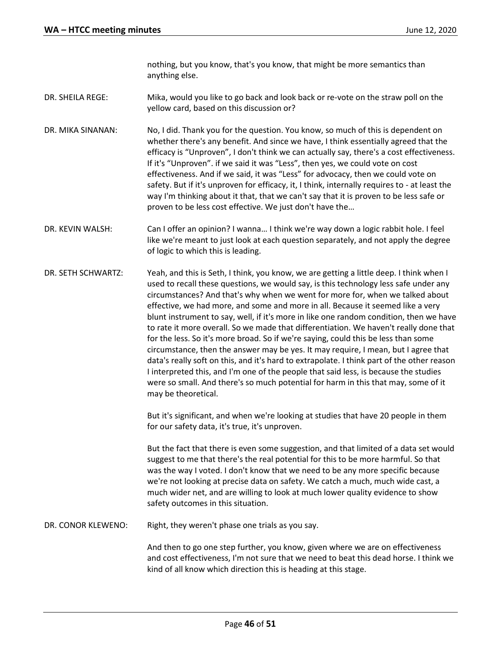nothing, but you know, that's you know, that might be more semantics than anything else.

- DR. SHEILA REGE: Mika, would you like to go back and look back or re-vote on the straw poll on the yellow card, based on this discussion or?
- DR. MIKA SINANAN: No, I did. Thank you for the question. You know, so much of this is dependent on whether there's any benefit. And since we have, I think essentially agreed that the efficacy is "Unproven", I don't think we can actually say, there's a cost effectiveness. If it's "Unproven". if we said it was "Less", then yes, we could vote on cost effectiveness. And if we said, it was "Less" for advocacy, then we could vote on safety. But if it's unproven for efficacy, it, I think, internally requires to - at least the way I'm thinking about it that, that we can't say that it is proven to be less safe or proven to be less cost effective. We just don't have the…
- DR. KEVIN WALSH: Can I offer an opinion? I wanna… I think we're way down a logic rabbit hole. I feel like we're meant to just look at each question separately, and not apply the degree of logic to which this is leading.
- DR. SETH SCHWARTZ: Yeah, and this is Seth, I think, you know, we are getting a little deep. I think when I used to recall these questions, we would say, is this technology less safe under any circumstances? And that's why when we went for more for, when we talked about effective, we had more, and some and more in all. Because it seemed like a very blunt instrument to say, well, if it's more in like one random condition, then we have to rate it more overall. So we made that differentiation. We haven't really done that for the less. So it's more broad. So if we're saying, could this be less than some circumstance, then the answer may be yes. It may require, I mean, but I agree that data's really soft on this, and it's hard to extrapolate. I think part of the other reason I interpreted this, and I'm one of the people that said less, is because the studies were so small. And there's so much potential for harm in this that may, some of it may be theoretical.

But it's significant, and when we're looking at studies that have 20 people in them for our safety data, it's true, it's unproven.

But the fact that there is even some suggestion, and that limited of a data set would suggest to me that there's the real potential for this to be more harmful. So that was the way I voted. I don't know that we need to be any more specific because we're not looking at precise data on safety. We catch a much, much wide cast, a much wider net, and are willing to look at much lower quality evidence to show safety outcomes in this situation.

DR. CONOR KLEWENO: Right, they weren't phase one trials as you say.

And then to go one step further, you know, given where we are on effectiveness and cost effectiveness, I'm not sure that we need to beat this dead horse. I think we kind of all know which direction this is heading at this stage.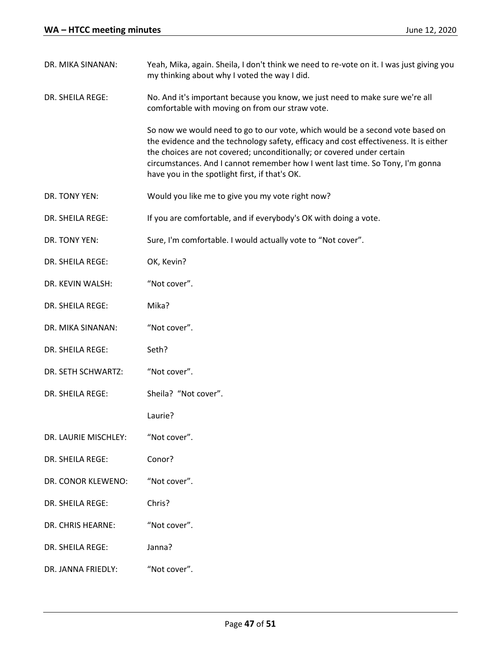| DR. MIKA SINANAN:    | Yeah, Mika, again. Sheila, I don't think we need to re-vote on it. I was just giving you<br>my thinking about why I voted the way I did.                                                                                                                                                                                                                                            |
|----------------------|-------------------------------------------------------------------------------------------------------------------------------------------------------------------------------------------------------------------------------------------------------------------------------------------------------------------------------------------------------------------------------------|
| DR. SHEILA REGE:     | No. And it's important because you know, we just need to make sure we're all<br>comfortable with moving on from our straw vote.                                                                                                                                                                                                                                                     |
|                      | So now we would need to go to our vote, which would be a second vote based on<br>the evidence and the technology safety, efficacy and cost effectiveness. It is either<br>the choices are not covered; unconditionally; or covered under certain<br>circumstances. And I cannot remember how I went last time. So Tony, I'm gonna<br>have you in the spotlight first, if that's OK. |
| DR. TONY YEN:        | Would you like me to give you my vote right now?                                                                                                                                                                                                                                                                                                                                    |
| DR. SHEILA REGE:     | If you are comfortable, and if everybody's OK with doing a vote.                                                                                                                                                                                                                                                                                                                    |
| DR. TONY YEN:        | Sure, I'm comfortable. I would actually vote to "Not cover".                                                                                                                                                                                                                                                                                                                        |
| DR. SHEILA REGE:     | OK, Kevin?                                                                                                                                                                                                                                                                                                                                                                          |
| DR. KEVIN WALSH:     | "Not cover".                                                                                                                                                                                                                                                                                                                                                                        |
| DR. SHEILA REGE:     | Mika?                                                                                                                                                                                                                                                                                                                                                                               |
| DR. MIKA SINANAN:    | "Not cover".                                                                                                                                                                                                                                                                                                                                                                        |
| DR. SHEILA REGE:     | Seth?                                                                                                                                                                                                                                                                                                                                                                               |
| DR. SETH SCHWARTZ:   | "Not cover".                                                                                                                                                                                                                                                                                                                                                                        |
| DR. SHEILA REGE:     | Sheila? "Not cover".                                                                                                                                                                                                                                                                                                                                                                |
|                      | Laurie?                                                                                                                                                                                                                                                                                                                                                                             |
| DR. LAURIE MISCHLEY: | "Not cover".                                                                                                                                                                                                                                                                                                                                                                        |
| DR. SHEILA REGE:     | Conor?                                                                                                                                                                                                                                                                                                                                                                              |
| DR. CONOR KLEWENO:   | "Not cover".                                                                                                                                                                                                                                                                                                                                                                        |
| DR. SHEILA REGE:     | Chris?                                                                                                                                                                                                                                                                                                                                                                              |
| DR. CHRIS HEARNE:    | "Not cover".                                                                                                                                                                                                                                                                                                                                                                        |
| DR. SHEILA REGE:     | Janna?                                                                                                                                                                                                                                                                                                                                                                              |
| DR. JANNA FRIEDLY:   | "Not cover".                                                                                                                                                                                                                                                                                                                                                                        |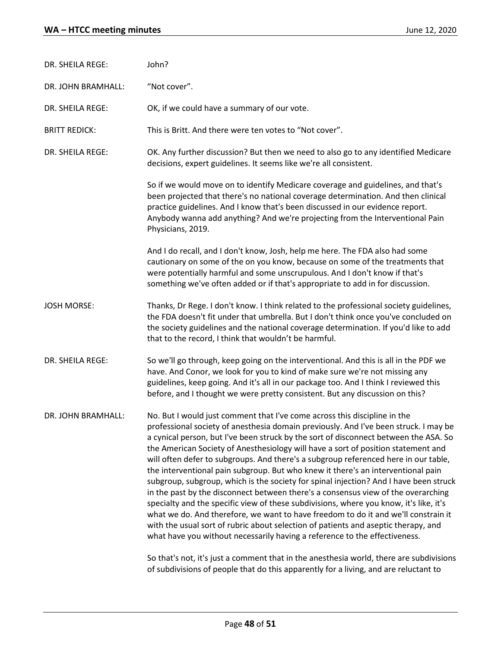| DR. SHEILA REGE:     | John?                                                                                                                                                                                                                                                                                                                                                                                                                                                                                                                                                                                                                                                                                                                                                                                                                                                                                                                                                                                                                                                       |  |
|----------------------|-------------------------------------------------------------------------------------------------------------------------------------------------------------------------------------------------------------------------------------------------------------------------------------------------------------------------------------------------------------------------------------------------------------------------------------------------------------------------------------------------------------------------------------------------------------------------------------------------------------------------------------------------------------------------------------------------------------------------------------------------------------------------------------------------------------------------------------------------------------------------------------------------------------------------------------------------------------------------------------------------------------------------------------------------------------|--|
| DR. JOHN BRAMHALL:   | "Not cover".                                                                                                                                                                                                                                                                                                                                                                                                                                                                                                                                                                                                                                                                                                                                                                                                                                                                                                                                                                                                                                                |  |
| DR. SHEILA REGE:     | OK, if we could have a summary of our vote.                                                                                                                                                                                                                                                                                                                                                                                                                                                                                                                                                                                                                                                                                                                                                                                                                                                                                                                                                                                                                 |  |
| <b>BRITT REDICK:</b> | This is Britt. And there were ten votes to "Not cover".                                                                                                                                                                                                                                                                                                                                                                                                                                                                                                                                                                                                                                                                                                                                                                                                                                                                                                                                                                                                     |  |
| DR. SHEILA REGE:     | OK. Any further discussion? But then we need to also go to any identified Medicare<br>decisions, expert guidelines. It seems like we're all consistent.                                                                                                                                                                                                                                                                                                                                                                                                                                                                                                                                                                                                                                                                                                                                                                                                                                                                                                     |  |
|                      | So if we would move on to identify Medicare coverage and guidelines, and that's<br>been projected that there's no national coverage determination. And then clinical<br>practice guidelines. And I know that's been discussed in our evidence report.<br>Anybody wanna add anything? And we're projecting from the Interventional Pain<br>Physicians, 2019.                                                                                                                                                                                                                                                                                                                                                                                                                                                                                                                                                                                                                                                                                                 |  |
|                      | And I do recall, and I don't know, Josh, help me here. The FDA also had some<br>cautionary on some of the on you know, because on some of the treatments that<br>were potentially harmful and some unscrupulous. And I don't know if that's<br>something we've often added or if that's appropriate to add in for discussion.                                                                                                                                                                                                                                                                                                                                                                                                                                                                                                                                                                                                                                                                                                                               |  |
| <b>JOSH MORSE:</b>   | Thanks, Dr Rege. I don't know. I think related to the professional society guidelines,<br>the FDA doesn't fit under that umbrella. But I don't think once you've concluded on<br>the society guidelines and the national coverage determination. If you'd like to add<br>that to the record, I think that wouldn't be harmful.                                                                                                                                                                                                                                                                                                                                                                                                                                                                                                                                                                                                                                                                                                                              |  |
| DR. SHEILA REGE:     | So we'll go through, keep going on the interventional. And this is all in the PDF we<br>have. And Conor, we look for you to kind of make sure we're not missing any<br>guidelines, keep going. And it's all in our package too. And I think I reviewed this<br>before, and I thought we were pretty consistent. But any discussion on this?                                                                                                                                                                                                                                                                                                                                                                                                                                                                                                                                                                                                                                                                                                                 |  |
| DR. JOHN BRAMHALL:   | No. But I would just comment that I've come across this discipline in the<br>professional society of anesthesia domain previously. And I've been struck. I may be<br>a cynical person, but I've been struck by the sort of disconnect between the ASA. So<br>the American Society of Anesthesiology will have a sort of position statement and<br>will often defer to subgroups. And there's a subgroup referenced here in our table,<br>the interventional pain subgroup. But who knew it there's an interventional pain<br>subgroup, subgroup, which is the society for spinal injection? And I have been struck<br>in the past by the disconnect between there's a consensus view of the overarching<br>specialty and the specific view of these subdivisions, where you know, it's like, it's<br>what we do. And therefore, we want to have freedom to do it and we'll constrain it<br>with the usual sort of rubric about selection of patients and aseptic therapy, and<br>what have you without necessarily having a reference to the effectiveness. |  |
|                      | So that's not, it's just a comment that in the anesthesia world, there are subdivisions<br>of subdivisions of people that do this apparently for a living, and are reluctant to                                                                                                                                                                                                                                                                                                                                                                                                                                                                                                                                                                                                                                                                                                                                                                                                                                                                             |  |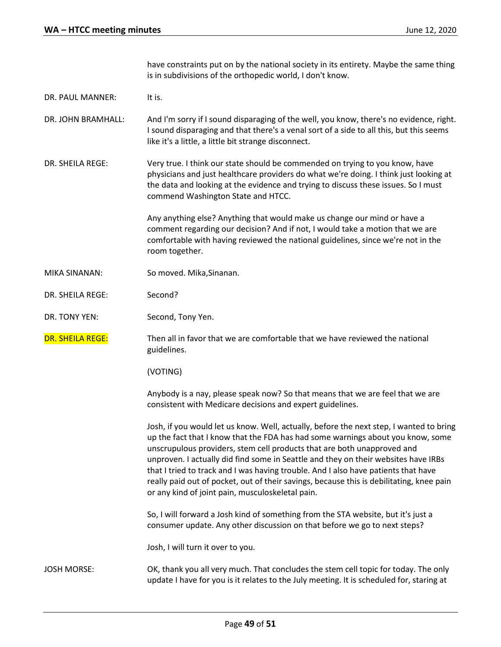have constraints put on by the national society in its entirety. Maybe the same thing is in subdivisions of the orthopedic world, I don't know. DR. PAUL MANNER: It is. DR. JOHN BRAMHALL: And I'm sorry if I sound disparaging of the well, you know, there's no evidence, right. I sound disparaging and that there's a venal sort of a side to all this, but this seems like it's a little, a little bit strange disconnect. DR. SHEILA REGE: Very true. I think our state should be commended on trying to you know, have physicians and just healthcare providers do what we're doing. I think just looking at the data and looking at the evidence and trying to discuss these issues. So I must commend Washington State and HTCC. Any anything else? Anything that would make us change our mind or have a comment regarding our decision? And if not, I would take a motion that we are comfortable with having reviewed the national guidelines, since we're not in the room together. MIKA SINANAN: So moved. Mika,Sinanan. DR. SHEILA REGE: Second? DR. TONY YEN: Second, Tony Yen. DR. SHEILA REGE: Then all in favor that we are comfortable that we have reviewed the national guidelines. (VOTING) Anybody is a nay, please speak now? So that means that we are feel that we are consistent with Medicare decisions and expert guidelines. Josh, if you would let us know. Well, actually, before the next step, I wanted to bring up the fact that I know that the FDA has had some warnings about you know, some unscrupulous providers, stem cell products that are both unapproved and unproven. I actually did find some in Seattle and they on their websites have IRBs that I tried to track and I was having trouble. And I also have patients that have really paid out of pocket, out of their savings, because this is debilitating, knee pain or any kind of joint pain, musculoskeletal pain. So, I will forward a Josh kind of something from the STA website, but it's just a consumer update. Any other discussion on that before we go to next steps? Josh, I will turn it over to you. JOSH MORSE: OK, thank you all very much. That concludes the stem cell topic for today. The only update I have for you is it relates to the July meeting. It is scheduled for, staring at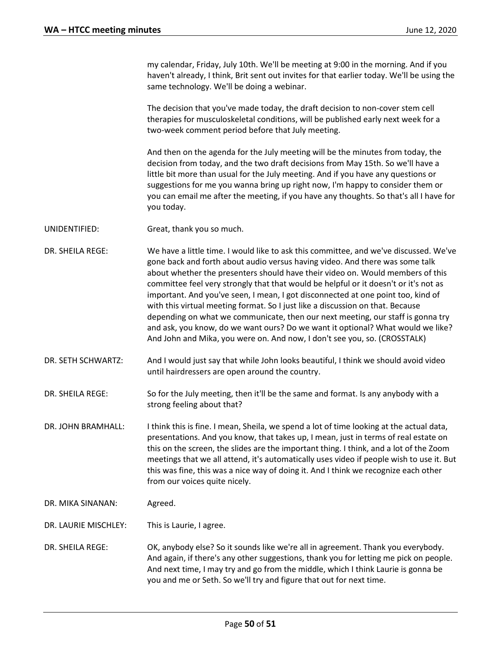my calendar, Friday, July 10th. We'll be meeting at 9:00 in the morning. And if you haven't already, I think, Brit sent out invites for that earlier today. We'll be using the same technology. We'll be doing a webinar.

The decision that you've made today, the draft decision to non-cover stem cell therapies for musculoskeletal conditions, will be published early next week for a two-week comment period before that July meeting.

And then on the agenda for the July meeting will be the minutes from today, the decision from today, and the two draft decisions from May 15th. So we'll have a little bit more than usual for the July meeting. And if you have any questions or suggestions for me you wanna bring up right now, I'm happy to consider them or you can email me after the meeting, if you have any thoughts. So that's all I have for you today.

- UNIDENTIFIED: Great, thank you so much.
- DR. SHEILA REGE: We have a little time. I would like to ask this committee, and we've discussed. We've gone back and forth about audio versus having video. And there was some talk about whether the presenters should have their video on. Would members of this committee feel very strongly that that would be helpful or it doesn't or it's not as important. And you've seen, I mean, I got disconnected at one point too, kind of with this virtual meeting format. So I just like a discussion on that. Because depending on what we communicate, then our next meeting, our staff is gonna try and ask, you know, do we want ours? Do we want it optional? What would we like? And John and Mika, you were on. And now, I don't see you, so. (CROSSTALK)
- DR. SETH SCHWARTZ: And I would just say that while John looks beautiful, I think we should avoid video until hairdressers are open around the country.
- DR. SHEILA REGE: So for the July meeting, then it'll be the same and format. Is any anybody with a strong feeling about that?
- DR. JOHN BRAMHALL: I think this is fine. I mean, Sheila, we spend a lot of time looking at the actual data, presentations. And you know, that takes up, I mean, just in terms of real estate on this on the screen, the slides are the important thing. I think, and a lot of the Zoom meetings that we all attend, it's automatically uses video if people wish to use it. But this was fine, this was a nice way of doing it. And I think we recognize each other from our voices quite nicely.
- DR. MIKA SINANAN: Agreed.
- DR. LAURIE MISCHLEY: This is Laurie, I agree.
- DR. SHEILA REGE: OK, anybody else? So it sounds like we're all in agreement. Thank you everybody. And again, if there's any other suggestions, thank you for letting me pick on people. And next time, I may try and go from the middle, which I think Laurie is gonna be you and me or Seth. So we'll try and figure that out for next time.